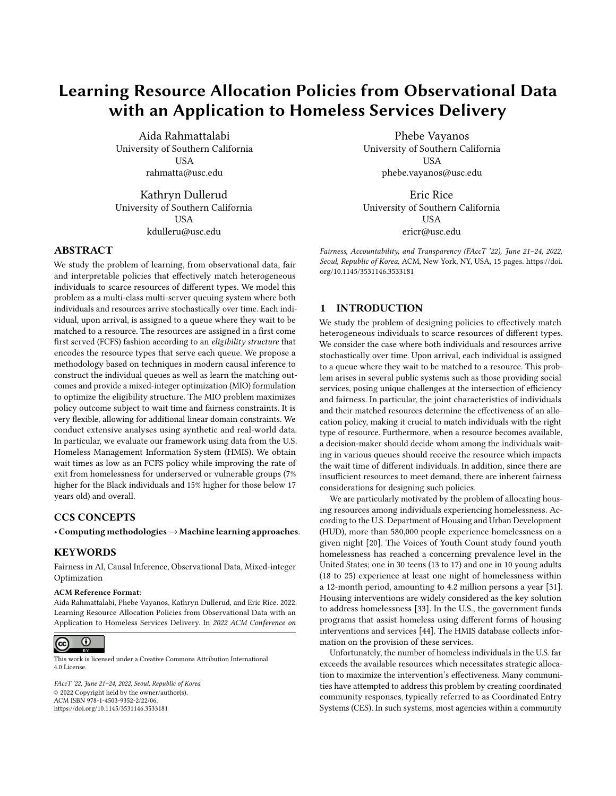# Learning Resource Allocation Policies from Observational Data with an Application to Homeless Services Delivery

Aida Rahmattalabi University of Southern California USA rahmatta@usc.edu

Kathryn Dullerud University of Southern California **USA** kdulleru@usc.edu

## ABSTRACT

We study the problem of learning, from observational data, fair and interpretable policies that effectively match heterogeneous individuals to scarce resources of different types. We model this problem as a multi-class multi-server queuing system where both individuals and resources arrive stochastically over time. Each individual, upon arrival, is assigned to a queue where they wait to be matched to a resource. The resources are assigned in a first come first served (FCFS) fashion according to an eligibility structure that encodes the resource types that serve each queue. We propose a methodology based on techniques in modern causal inference to construct the individual queues as well as learn the matching outcomes and provide a mixed-integer optimization (MIO) formulation to optimize the eligibility structure. The MIO problem maximizes policy outcome subject to wait time and fairness constraints. It is very flexible, allowing for additional linear domain constraints. We conduct extensive analyses using synthetic and real-world data. In particular, we evaluate our framework using data from the U.S. Homeless Management Information System (HMIS). We obtain wait times as low as an FCFS policy while improving the rate of exit from homelessness for underserved or vulnerable groups (7% higher for the Black individuals and 15% higher for those below 17 years old) and overall.

## CCS CONCEPTS

• Computing methodologies→Machine learning approaches.

## **KEYWORDS**

Fairness in AI, Causal Inference, Observational Data, Mixed-integer Optimization

#### ACM Reference Format:

Aida Rahmattalabi, Phebe Vayanos, Kathryn Dullerud, and Eric Rice. 2022. Learning Resource Allocation Policies from Observational Data with an Application to Homeless Services Delivery. In 2022 ACM Conference on



This work is licensed under a [Creative Commons Attribution International](https://creativecommons.org/licenses/by/4.0/) [4.0 License.](https://creativecommons.org/licenses/by/4.0/)

FAccT '22, June 21–24, 2022, Seoul, Republic of Korea © 2022 Copyright held by the owner/author(s). ACM ISBN 978-1-4503-9352-2/22/06. <https://doi.org/10.1145/3531146.3533181>

Phebe Vayanos University of Southern California USA phebe.vayanos@usc.edu

Eric Rice University of Southern California USA ericr@usc.edu

Fairness, Accountability, and Transparency (FAccT '22), June 21–24, 2022, Seoul, Republic of Korea. ACM, New York, NY, USA, [15](#page-14-0) pages. [https://doi.](https://doi.org/10.1145/3531146.3533181) [org/10.1145/3531146.3533181](https://doi.org/10.1145/3531146.3533181)

## 1 INTRODUCTION

We study the problem of designing policies to effectively match heterogeneous individuals to scarce resources of different types. We consider the case where both individuals and resources arrive stochastically over time. Upon arrival, each individual is assigned to a queue where they wait to be matched to a resource. This problem arises in several public systems such as those providing social services, posing unique challenges at the intersection of efficiency and fairness. In particular, the joint characteristics of individuals and their matched resources determine the effectiveness of an allocation policy, making it crucial to match individuals with the right type of resource. Furthermore, when a resource becomes available, a decision-maker should decide whom among the individuals waiting in various queues should receive the resource which impacts the wait time of different individuals. In addition, since there are insufficient resources to meet demand, there are inherent fairness considerations for designing such policies.

We are particularly motivated by the problem of allocating housing resources among individuals experiencing homelessness. According to the U.S. Department of Housing and Urban Development (HUD), more than 580,000 people experience homelessness on a given night [\[20\]](#page-10-0). The Voices of Youth Count study found youth homelessness has reached a concerning prevalence level in the United States; one in 30 teens (13 to 17) and one in 10 young adults (18 to 25) experience at least one night of homelessness within a 12-month period, amounting to 4.2 million persons a year [\[31\]](#page-11-0). Housing interventions are widely considered as the key solution to address homelessness [\[33\]](#page-11-1). In the U.S., the government funds programs that assist homeless using different forms of housing interventions and services [\[44\]](#page-11-2). The HMIS database collects information on the provision of these services.

Unfortunately, the number of homeless individuals in the U.S. far exceeds the available resources which necessitates strategic allocation to maximize the intervention's effectiveness. Many communities have attempted to address this problem by creating coordinated community responses, typically referred to as Coordinated Entry Systems (CES). In such systems, most agencies within a community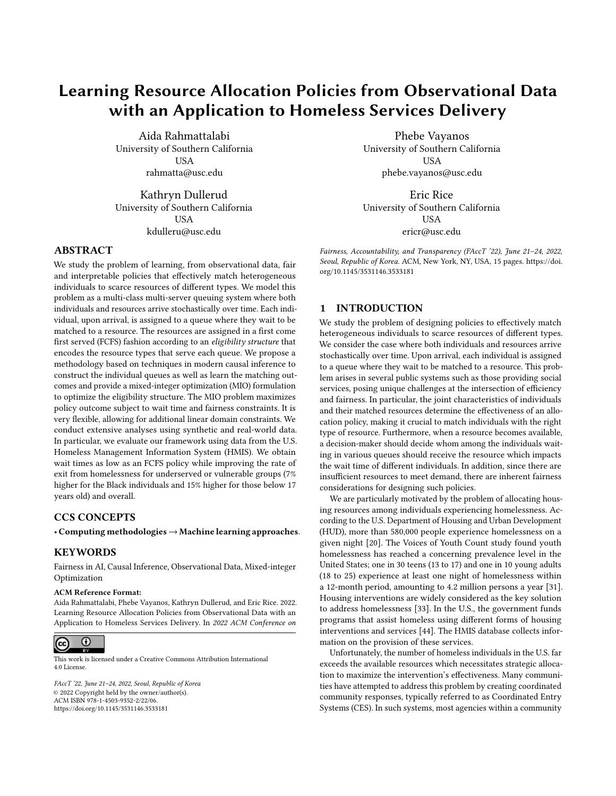<span id="page-1-0"></span>



Figure 1: NST-recommended resource allocation policy utilized by housing allocation agencies in the homelessness context. The policy is in the form of a resource eligibility structure. According to this figure, individuals with score eight and above qualify for PSH, score 4 to 7 are assigned to the RRH wait list and finally individuals who score below 4 are not assigned to any of the housing interventions.

1 pool their housing resources in a centralized system called a Continuum of Care (CoC). A CoC is a regional or local planning body that coordinates housing and services funding—primarily from HUD—for people experiencing homelessness. Individuals in a given CoC who seek housing are first assessed for eligibility and vulnerability and those identified as having the greatest need are matched to appropriate housing resources [\[39\]](#page-11-3). For example, in the context of youth homelessness, the most widely adopted tool for assessing vulnerability is the Transition Age Youth-Vulnerability Index-Service Prioritization Decision Assistance Tool (TAY-VI-SPDAT): Next Step Tool (NST), which was developed by OrgCode Consulting, Corporation for Supportive Housing (CSH), Community Solutions, and Eric Rice. OrgCode claims that hundreds of CoC's in the USA, Canada and Australia have adopted this tool [\[34\]](#page-11-4). After assessment, each individual receives a vulnerability score ranging from 0 to 17. One of the main challenges that CoC's face is how to use the information about individuals to decide what housing assistance programs should be available to a particular homeless individual. In many communities, based on the recommendations provided in the NST tool documentation, individuals who score 8 to 17 are considered as "high risk" and are prioritized for resource-intensive housing programs or Permanent Supportive Housing (PSH). Those who score in the 4-7 range are typically assigned to short-term rental subsidy programs or Rapid-ReHousing (RRH) and those with score below 4 are eligible for services that meet basic needs which we refer to as Service Only (SO) [\[40\]](#page-11-5). Figure [1](#page-1-0) depicts how the individuals are matched to resources according to the status-quo policy.

The aforementioned policy can be viewed as a resource eligibility structure as from the onset, it determines the resources an individual is eligible for. Such policies have the advantage of being interpretable, i.e., it is easy to explain why a particular allocation is made. Earlier work shows that most communities follow the policy recommendations when assigning housing [\[40\]](#page-11-5). However, controversy has surrounded the use of these cut scores and as of December 2020, OrgCode has called for new approaches to using the data collected by HMIS [\[35\]](#page-11-6). There is also an overwhelming desire on the part of HUD to design systematic and data-driven housing policies, including the design of the cut scores and the queues that they induce [\[44\]](#page-11-2). Currently, the cut scores are not tied to the treatment effect of interventions or the relative arrival rate

of individuals and resources in the respective queues. This is problematic as it is not evidently clear that assigning high-scoring and mid-scoring individuals to particular housing interventions, such as PSH or RRH, actually increases their chances of becoming stably housed. Additionally, there may not be enough resources to satisfy the needs of all individuals matched to a particular resource, resulting in long wait times. Prolonged homelessness may in turn increase the chances of exposure to violence, substance use, etc., or individuals dropping out of the system.

In particular, OrgCode and others have called for a new equity focus to how vulnerability tools are linked to housing allocation [\[29,](#page-10-1) [35\]](#page-11-6). Despite recent efforts to understand and mitigate disparities in homelessness, current system suffers from a significant gap in the prevalence of homelessness across different groups. For example, studies show that most racial minority groups experience homelessness at higher rates than Whites [\[18\]](#page-10-2). Also, recent work has revealed that PSH outcomes are worse for Black clients in Los Angeles [\[29\]](#page-10-1) and based on the same HMIS data used in present study, Black, Latinx, and LGBQ youth have been shown to experience worse housing outcomes [\[22\]](#page-10-3). Addressing these disparities requires an understanding of the distribution of the individuals vulnerability to homelessness, the heterogeneity in the treatment affect and the associations with protected attributes such as race, gender, or age.

In this work, we build on the literature on causal inference and queuing theory and propose a methodology that uses historical data about the waitlisted individuals and their allocated resources to optimize resource allocation policies. We make the following contributions:

- We model the policy optimization problem as a multi-class multi-server queuing system between heterogeneous individuals and resources that arrive over time. We extend the literature on queuing theory by proposing a data-driven methodology to construct the model from observational data. Specifically, we use tools from modern causal inference to learn the treatment effect of the interventions from data and construct the queues by grouping individuals that have similar average treatment effects.
- We propose interpretable policies that take the form of a resource eligibility structure, encoding the resource types that serve each queue. We provide an MIO formulation to optimize the eligibility structure that incorporates flexibly defined fairness considerations or other linear domain-specific constraints. The MIO maximizes the policy effectiveness and guarantees minimum wait time.
- Using HMIS data, we conduct a case study to demonstrate the effectiveness of our approach. Our results indicate superior performance along policy effectiveness, fairness and wait time. Precisely, we are able to obtain wait time as low as a fully FCFS policy while improving the rate of exit from homelessness for traditionally underserved or vulnerable groups (7% for the Black individuals and 15% higher for youth below 17 years old) and overall.

The remainder of this paper is organized as follows. In Section [2,](#page-2-0) we review the related literature. In Section [3,](#page-2-1) we introduce the policy optimization problem. In Section [4,](#page-5-0) we propose our data-driven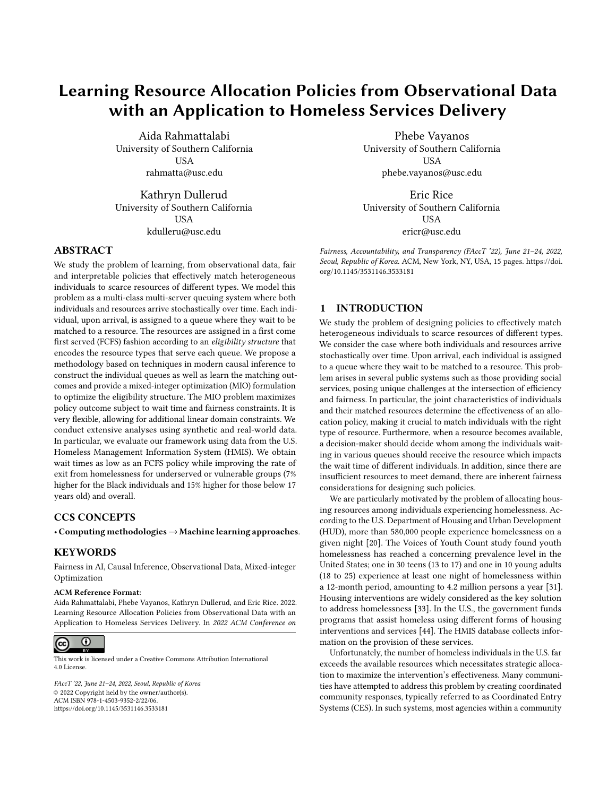methodology for solving the policy optimization problem. Finally, we summarize our numerical experiments and present a case study using HMIS data on youth experiencing homelessness in Section [5.](#page-6-0) Proofs and detailed numerical results are provided in the Appendix.

## <span id="page-2-0"></span>2 LITERATURE REVIEW

This work is related to several streams of literature which we review. Specifically, we cover queuing theory as the basis of our modelling framework. We also position our methodology within the literature on data-driven policy optimization and causal inference. We conclude by highlighting recent works on fairness in resource allocation.

A large number of scarce resource allocation problems give rise to one-sided queuing models. In these models, resources are allocated upon arrival, whereas individuals queue before being matched. Examples are organ matching [\[7\]](#page-10-4) and public housing assignment [\[4,](#page-10-5) [24\]](#page-10-6). One stream of literature studies dynamic matching policies to find asymptotically optimal scheduling policies under conventional heavy traffic conditions [\[5,](#page-10-7) [28\]](#page-10-8). Another stream focuses on the system behavior under FCFS service discipline aiming to identify conditions that ensure the stability of the queuing system and characterize the steady-state matching flow rates, i.e., the average rate of individuals of a given queue (or customer class) that are served by a particular resource (server) [\[10,](#page-10-9) [17\]](#page-10-10). These works only focus on minimizing delay and do not explicitly model the heterogeneous service value among the customers. Recently, [\[15\]](#page-10-11) studied one-sided queuing system where resources are allocated to the customer with the highest score (or index), which is the sum of the customer's waiting score and matching score. The authors derive a closed-form index that optimizes the steady-state performance subject to specific fairness considerations. Their proposed fairness metric measures the variance in the likelihood of getting service before abandoning the queue. Contrary to their model, we consider FCFS policies subject to resource eligibility structures which we optimize over. Our model is based on the policies currently being implemented for housing allocation among homeless individuals that target resources to heterogeneous individuals by explicitly imposing an eligibility structure. Our policies are interpretable by design as upon arrival the resources that an individual is eligible for is known, making it easy to explain why a certain allocation has or has not been made. Further, the proposed model allows for a more general class of fairness requirements commonly used in practice including fairness in allocation and outcome. It is noteworthy that our model is different from common allocation models in the public housing setting where targeting of the resources can be considered as implicit, i.e., individuals with different levels of need make different choices about where to apply and what to accept themselves [\[3,](#page-10-12) [4\]](#page-10-5).

Our approach builds upon [\[2\]](#page-10-13), in which the authors study the problem of designing a matching topology between customer classes and servers under a FCFS service discipline. They focus on finding matching topologies that minimize the customers' waiting time and maximize matching rewards obtained by pairing customers and servers. The authors characterize the average steady-state wait time across all customer classes in terms of the structure of the matching model, under heavy-traffic condition. They propose a quadratic

program (QP) to compute the steady-state matching flows between customers and servers and prove the conditions under which the approximation is exact. We build on the theoretical results in [\[2\]](#page-10-13) to design resource eligibility structures that match heterogeneous individuals and resources in the homelessness setting. Contrary to the model in [\[2\]](#page-10-13), we do not assume that the queues or the matching rewards are given a priori. Instead, we propose to use observational data from historical policy to learn an appropriate grouping of individuals into distinct queues, estimate the matching rewards, and evaluate the resulting policies.

Another stream of literature focuses on designing data-driven policies, where fairness considerations have also received significant attention due to implicit or explicit biases that models or the data may exhibit [\[9,](#page-10-14) [14,](#page-10-15) [25,](#page-10-16) [36\]](#page-11-7). In [\[9\]](#page-10-14), the authors propose a datadriven model for learning scoring policies for kidney allocation that matches organs at their time of procurement to available patients. Their approach satisfies linear fairness constraints approximately and does not provide any guarantees for wait time. In addition, they take as input a model for the matching rewards (i.e., life years from transplant)to optimize the scoring policy. In [\[6\]](#page-10-17), the authors propose a data-driven mixed integer program with linear fairness constraints to solve a similar resource allocation which provides an exact, rather than an approximate, formulation. They also give an approximate solution to achieve faster run-time. We consider a class policies in the form of matching topologies that is different from scoring rules and is more closely related to the policies implemented in practice. Such policies offer more interpretability as individuals know what resources they are eligible for from the onset. Several works have considered interpretable functional forms in policy design. For example, in [\[8,](#page-10-18) [23\]](#page-10-19), the authors consider decision trees and develop techniques to obtain optimal trees from observational data. Their approach is purely data-driven and do not allow for explicit modelling of the arrival of resources, individuals which impact wait time. In the homelessness setting, our work is closely related to [\[27\]](#page-10-20) which proposes a resource allocation mechanism to match homeless households to resources based on the probability of system re-entry. In this work, the authors provide a static formulation of the problem which requires frequent re-optimization and does not take the waiting time into account. In [\[32\]](#page-11-8), the authors propose a fairness criterion that prioritizes those who benefit the most from a resource, as opposed to those who are the neediest and study the price of fairness under different fairness definitions. Similar to [\[27\]](#page-10-20), their formulation is static and does not yield a policy to allocate resources in dynamic environments.

## <span id="page-2-1"></span>3 HOUSING ALLOCATION AS A QUEUING **SYSTEM**

## 3.1 Preliminaries

We model the resource allocation system as an infinite stream of heterogeneous individuals and resources that arrive over time. Each individual is characterized by a (random) feature vector  $X \in \mathcal{X} \subseteq \mathbb{R}^n$ <br>and receives an intervention R from a finite set of treatments in and receives an intervention  $R$  from a finite set of treatments indexed in the set  $R$ . We note that  $R$  may include "no intervention" or minimal interventions such as SO in the housing allocation setting. Using the potential outcomes framework [\[42\]](#page-11-9), each individual has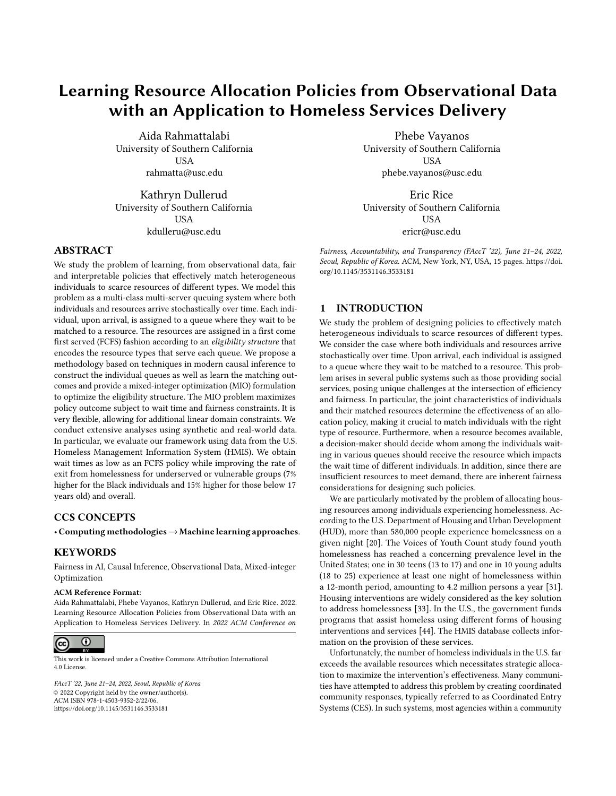a vector of potential outcomes  $Y(r) \in \mathcal{Y} \subseteq R$  8r  $\in \mathcal{R}$ , where  $Y(r)$ is an individual's outcome when matched to resource r.

We assume having access to N historical observations  $\mathcal{D}$  :=  $\{(X_i; R_i; Y_i)\}_{i=1}^N$ , generated by the deployed policy, where  $X_i \in X$ <br>denotes the feature vector of the *i*th observation.  $R_i \in \mathcal{R}$  is the  $\{X_1, N_1, T_1\}_{f=1}^T$ , generated by the deployed policy, where  $X_1 \in \mathcal{X}$ <br>denotes the feature vector of the *i*th observation,  $R_i \in \mathcal{R}$  is the resource assigned to it and  $Y_i = Y_i(R_i)$  is the observed outcome, i.e., the outcome under the resource received. A (stochastic) policy  $(r|\mathbf{x}) : \mathcal{X} \times \mathcal{R} \rightarrow [0; 1]$  maps features **x** to the probability of receiving resource  $r$ . We define the value of a policy as the expected outcome when the policy is implemented, i.e.,  $V( ) :=$  $E[\begin{matrix} \mathbf{F}_{f \in \mathcal{R}} & (r|\mathbf{X})Y(r) \end{matrix}]$ . A major challenge in evaluating and optimizing policies is that we cannot observe the counterfactual outcomes  $Y_i(r); r \in \mathcal{R}; r \neq R_i$  of resources that were not received by data point *i*. Hence, we need to make further assumptions to identify policy values from historical data. In Section [4,](#page-5-0) we elaborate on these assumptions and propose our methodology for evaluating and optimizing policies from data.

We model the system as a multi-class multi-server (MCMS) queuing system where a set of resources  $R$  serve a finite set of individual queues indexed in the set  $Q$ . Upon arrival, individuals are assigned to different queues based on their feature vector. For example, in the housing allocation setting and according to the recommended policy the assignment is based on the vulnerability score. We use  $p : X \to Q$  to denote the function that maps the feature vector to a queue that the individual will join. We refer to  $p$  as the *par*titioning function (as it partitions  $X$  and assigns each subset to a queue) and note that it is unknown a priori. In this work, we consider partitioning functions in the form of a binary trees similar to classification trees, due to their interpretability [\[6\]](#page-10-17). We assume that individuals arrive according to stationary and independent Poisson processes and that inter-arrival time of resources follows an exponential distribution. These are common assumptions in queuing theory for modeling arrivals, however, they may not fully hold in practice in which case, it is possible to use re-optimization to adapt to the changing environment. We use  $:= (1; \cdots; 1)$ and  $\boldsymbol{\mu}$  :=  $(\mu_1$ ; :::;  $\mu_{|\mathcal{R}|})$  to denote the vector of arrival rates of individuals and resources, respectively. We define  $Q := \int_{q \in Q} q$  and  $\mu_{q}$  is the cumulative arrival rates of individuals and  $\mu_R := \int_{r \in \mathcal{R}} \mu_r$  as the cumulative arrival rates of individuals and resources respectively. Without loss of generality, we assume that resources, respectively. Without loss of generality, we assume that  $q > 0$  8q  $\in$  Q and  $\mu_r > 0$  8r  $\in \mathcal{R}$ .

## 3.2 Matching Policy

Once a new resource becomes available, it is allocated according to a resource eligibility structure that determines what queues are served by any particular resource. The resource eligibility structure can be represented as a matching topology  $M := [M_{qr}] \in$  $\{0, 1\}^{|Q|\times|R|}$ ; where  $M_{qr} = 1$  indicates that individuals in queue  $q$  is eligible for resource  $r$ . Becourses are assigned to queues in an  $q$  is eligible for resource  $r$ . Resources are assigned to queues in an FCFS fashion subject to matching topology M. For a partitioning function  $p$  and matching topology  $M$ , we denote the allocation policy by  $p_i \mathbf{M}(r|\mathbf{x})$ . We concern ourselves with the long-term steady state of the system. Proposition [1](#page-3-0) gives the necessary and sufficient conditions to arrive at a steady-state.

<span id="page-3-0"></span>Proposition 1 (Adan and Weiss [\[1\]](#page-10-21), Theorem 2.1). Given the MCMS system defined through  $(Q; R; ; \mu; M)$ , under the FCFS service discipline matching M admits a steady state if and only if the following



The left-hand side is the cumulative arrival rate of resources in  $\mathcal R$  in excess of the cumulative arrival rate of all the queues in  $Q_{\mathscr{R}}$ , where  $Q_{\mathscr{R}}$  is the set of queues that are only eligible for resources in  $\mathscr{R}$ , i.e.,  $Q_{\mathscr{R}} = \{q \in \mathcal{Q} : \mathsf{F}_{r \in \mathcal{R} \setminus \mathscr{R}} M_{qr} = 0\}.$ 

We define the set of *admissible matching topologies* as those that satisfy the inequality in Proposition [1.](#page-3-0) In the housing allocation problem, we assume that SO resources are abundant, i.e.,  $\mu_R - Q > 0$ . In other settings, it is possible to create an auxiliary resource queue corresponding to no intervention. The abundance assumption ensures that there exists at least one admissible matching: the fully connected matching topology  $M_{qr} = 1.8q \in \mathbb{Q}$ ;  $r \in \mathcal{R}$ and is necessary in order to avoid overloaded queues. In practice housing resources are strictly preferred. As a result, we propose to study the system under the so-called heavy traffic regime, where the system is loaded very close to its capacity and we assume that the system utilization parameter  $:= \mu_{\mathcal{R}} / \sigma$  approaches 1, i.e.,  $\rightarrow$  1. In general, we assume that and  $\mu$  are such that  $Q = \mu_R$ . This assumption will additionally make the analytical study of the matching system more tractable. In particular, in [\[2\]](#page-10-13), the authors propose a quadratic program to approximate the exact steady-state flows of the stochastic FCFS matching system under heavy traffic conditions. They enforce the steady-state flows in an optimization model to find the optimal matching topology using KKT optimality conditions. We adopt the same set of constraints in Section [3.4](#page-4-0) where we present the optimization formulation. We let  $F := [F_{qr}] \in \mathbb{R}^{|Q| \times |R|}$ <br>denote the steady-state flow, where  $M_{\infty} = 0 \implies F_{\infty} = 0$ . Given denote the steady-state flow, where  $M_{qr} = 0 \Rightarrow F_{qr} = 0$ . Given a partitioning function  $p$ , the policy associated with a matching topology M is equal to  $p_i M(r|\mathbf{X}) = Fqr / \mathbf{r} \in \mathcal{R}$   $Fqr = Fqr / q$ ,<br>in which  $q = p(\mathbf{X})$  and the second inequality follows from the in which  $q = p(x)$  and the second inequality follows from the flow balance constraints. In Proposition [2](#page-3-1) we show how the policy value can be written using the matching model parameters and treatment effect of different interventions. We define the conditional average treatment effect (CATE) of resource  $r$  and queue  $q$ as  $q_r := E[Y(r) - Y(1)|P(X) = q]$  8 $r \in \mathcal{R}$ ;  $q \in \mathcal{Q}$ , in which  $r = 1$  is the baseline intervention. In many applications, the baseline intervention corresponds to "no-intervention" (also referred to as the control group). In the housing allocation context, we set  $r = 1$  to be the SO intervention.

<span id="page-3-1"></span>Proposition 2. Given a partitioning function p, an MCMS model  $(Q; R; ; \mu; M)$ , and the steady-state FCFS flow F under FCFS discipline, the value of the induced policy  $p_i \mathbf{M}$  is equal to:

$$
V(\rho; M) = \frac{1}{Q} \sum_{q \in Q} \sum_{r \in \mathcal{R}} F_{qr}(\rho r + C)
$$

where C is a constant that depends on the expected outcome under the baseline intervention.

## 3.3 Policy Optimization

We now introduce the policy optimization problem under the assumption that the joint distribution of  $X$ ;  $Y(r)$ ;  $r \in \mathcal{R}$  as well as the partitioning function  $p$  is known. In Section [4,](#page-5-0) we propose a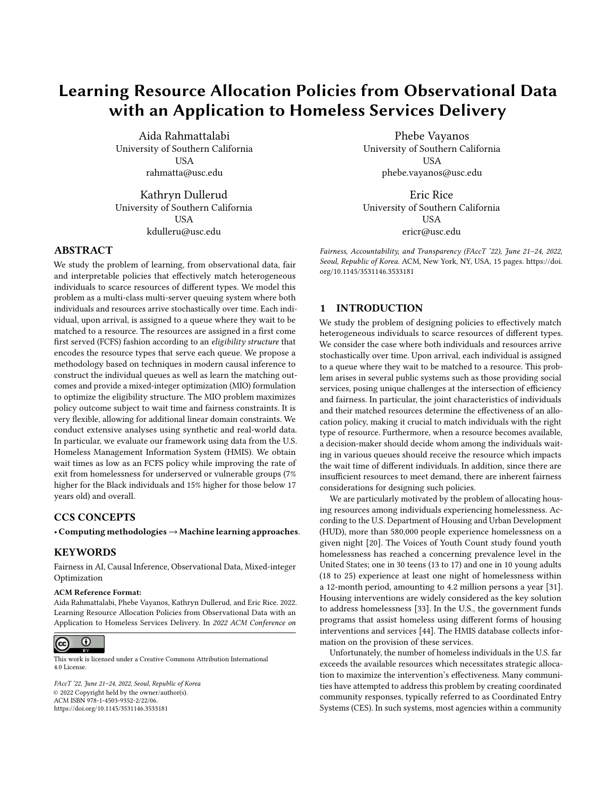methodology to construct  $p$ . Furthermore, we describe how we can use historical data to optimize new policies.

<span id="page-4-1"></span>
$$
\mathcal{P}(p) := \max_{\mathbf{M} \in \mathcal{M}} V(\rho; \mathbf{M})
$$
 (1)

In this problem,  $M$  is the set of feasible matching topologies which incorporates constraints that impose steady-state flow, fairness and minimum wait time constraints.

Fairness. In this work, we focus on group-based notions of fairness which have been widely studied in recent years in various data-driven decision making settings [\[6,](#page-10-17) [9,](#page-10-14) [32,](#page-11-8) [37\]](#page-11-10). Formally, we let G be a random variable describing the group that an individual belongs to, taking values in  $G$ . For example,  $G$  can correspond to protected features such as race, gender or age. It is also possible to define fairness with respect to other features, such as vulnerability score in the housing allocation setting. We give several examples to which our framework applies.

Example 1 (Maximin Fairness in Allocation). Motivated by Rawls theory of social justice [\[38\]](#page-11-11), maximin fairness aims to help the worstoff group as much as possible. Formally, the fairness constraints can be written as  $\tilde{\bullet}$ 

$$
F_{qr} \geq W \quad 8 \in \mathcal{G}; r \in \mathcal{R};
$$

 $q \in$ 

where W is the minimum acceptable flow across groups and  $Q \subseteq Q$ is a subset of queues whose individuals belong to  $G =$  . If queues contain individuals with different values of , one should separate them by creating multiple queues with unique . By increasing the parameter w, one is imposing more strict fairness requirements. This parameter can be used to control the trade-off between fairness and policy value. It can also be set to the highest value for which the constraint is feasible.

Example 2 (Group-based Parity in Allocation). Parity-based fairness notions strive for equal outcomes across groups.

$$
\begin{array}{ll}\n\bullet & \bullet \\
\mathsf{F}_{qr} - \mathsf{F}_{qr} \leq 8 \, ; \, ' \in \mathcal{G}; r \in \mathcal{R}:\n\end{array}
$$

In words, for every resource the difference between the cumulative flow between any pair of groups should be at most , where can be used to control the trade-off between fairness and policy value.

Example 3 (Maximin Fairness in Outcome). For every group, the policy value should be at least w.

$$
\frac{1}{Q} \bigotimes_{q \in Q} \bigotimes_{r \in \mathcal{R}} F_{qr} q_r \geq W \quad 8 \in \mathcal{G}:
$$

Example 4 (Group-based Parity in Outcome). The difference between the policy value for any pair of groups is at most .

$$
\frac{1}{q}\mathbf{G}\mathbf{G}\mathbf{G}\mathbf{F}_{qr}\frac{1}{r^2}+\frac{1}{q}\mathbf{G}\mathbf{G}\mathbf{F}_{qr}\frac{1}{r^2}+\frac{1}{r^2}q^2\mathbf{F}_{qr}\frac{1}{r^2}+\frac{1}{r^2}q^2\mathbf{F}_{qr}\frac{1}{r^2}+\frac{1}{r^2}q^2\mathbf{F}_{qr}\frac{1}{r^2}+\frac{1}{r^2}q^2\mathbf{F}_{qr}\frac{1}{r^2}+\frac{1}{r^2}q^2\mathbf{F}_{qr}\frac{1}{r^2}+\frac{1}{r^2}q^2\mathbf{F}_{qr}\frac{1}{r^2}+\frac{1}{r^2}q^2\mathbf{F}_{qr}\frac{1}{r^2}+\frac{1}{r^2}q^2\mathbf{F}_{qr}\frac{1}{r^2}+\frac{1}{r^2}q^2\mathbf{F}_{qr}\frac{1}{r^2}+\frac{1}{r^2}q^2\mathbf{F}_{qr}\frac{1}{r^2}+\frac{1}{r^2}q^2\mathbf{F}_{qr}\frac{1}{r^2}+\frac{1}{r^2}q^2\mathbf{F}_{qr}\frac{1}{r^2}+\frac{1}{r^2}q^2\mathbf{F}_{qr}\frac{1}{r^2}+\frac{1}{r^2}q^2\mathbf{F}_{qr}\frac{1}{r^2}+\frac{1}{r^2}q^2\mathbf{F}_{qr}\frac{1}{r^2}+\frac{1}{r^2}q^2\mathbf{F}_{qr}\frac{1}{r^2}+\frac{1}{r^2}q^2\mathbf{F}_{qr}\frac{1}{r^2}+\frac{1}{r^2}q^2\mathbf{F}_{qr}\frac{1}{r^2}+\frac{1}{r^2}q^2\mathbf{F}_{qr}\frac{1}{r^2}+\frac{1}{r^2}q^2\mathbf{F}_{qr}\frac{1}{r^2}+\frac{1}{r^2}q^2\mathbf{F}_{qr}\frac{1}{r^2}+\frac{1}{r^2}q^2\mathbf{F}_{qr}\frac{1}{r^2}+\frac{1}{r^2}q^2\mathbf{F}_{qr}\frac{1}{r^2}+\frac{1}{r^2}q^2\mathbf{F}_{qr}\frac{1}{r^2}+\frac{1}{r^2}q^2\mathbf{F}_{qr
$$

In the experiments, we focus on fairness in outcome due to treatment effect heterogeneity. In other words, it is important to match individuals with the right type of resource, rather than ensuring all groups have the same chance of receiving any particular resource. Further, we adopt maximin fairness which guarantees Pareto optimal policies [\[36\]](#page-11-7).

Wait Time. Average wait time is dependent on the structure of the matching topology. For example, minimum average wait time is attainable in a fully FCFS policy where  $M_{q} = 1.8q \in \mathcal{Q}$ ;  $r \in \mathcal{R}$ : In [\[2\]](#page-10-13), the authors characterize the general structural properties that impact average wait time. In particular, they show that under the heavy traffic condition, a matching system can be partitioned into a collection of complete resource pooling (CRP) subsystems that operate "almost" independently of each other. A key property of this partitioning is that individuals that belong to the same CRP component experience the same average steady-state wait time. Furthermore, the average wait time is tied to the number of CRPs of a matching topology, where a single CRP achieves minimum average wait time. In [\[2\]](#page-10-13), the authors introduce necessary and sufficient constraints to ensure that the matching topology M induces a single CRP component. We adopt these constraints in order to achieve minimum wait time which we discuss next. Next, we present the final optimization formulation by incorporating both wait time and fairness considerations in Problem [\(1\)](#page-4-1).

## <span id="page-4-0"></span>3.4 Optimization Formulation

Suppose the joint distribution of X,  $Y(r)$  8 $r \in \mathcal{R}$  is known. Given a partitioning function  $p$ , problem [\(1\)](#page-4-1) can be solved via the MIO:

## $\overline{\phantom{a}}$

$$
\max_{q \in Q} r \in \mathcal{R} \tag{2a}
$$

s.t. 
$$
Fqr
$$
;  $qr \in R$ ;  $r$ ;  $q \in R$  8 $q \in Q$ ;  $r \in R$  (2b)  
14.  $r = r$  (2c1) 8 $r = Q$ ;  $r = R$  (2e)

$$
M_{qr}; Z_{qr} \in \{0; 1\} \quad 8q \in \mathbf{Q}; r \in \mathbf{R}
$$
 (2c)

<span id="page-4-2"></span>
$$
\overset{(k)}{\bullet} \in \mathbb{R}_{+} \quad 8q; k \in \mathbb{Q}; r \in \mathbb{R} \tag{2d}
$$
\n
$$
F_{\text{ex}} = \mu_{\text{ex}} \quad 8r \in \mathbb{R} \tag{2e}
$$

$$
F_{qr} = \mu_r \quad \text{or } \in \mathcal{R} \tag{2e}
$$

<span id="page-4-3"></span>
$$
F_{qr} = q \quad 8q \in Q \tag{2f}
$$

<span id="page-4-4"></span>
$$
F_{qr} \le q\mu_r \quad q + r + qr + Z(1 - m_{qr}) \quad 8q \in \mathbf{Q}; r \in \mathbf{R}
$$
\n
$$
\tag{2g}
$$

$$
F_{qr} \geq q \mu_r \quad q + r + qr - Z(1 - m_{qr}) \quad 8q \in \mathbf{Q}; r \in \mathbf{R}
$$
\n
$$
(2h)
$$

$$
F_{qr} \le Zm_{qr} \quad 8q \in \mathbf{Q}; r \in \mathbf{R}
$$
 (2i)

$$
F_{qr} \le Zz_{qr} \quad 8q \in \mathbf{Q}; r \in \mathbf{R} \tag{2j}
$$

<span id="page-4-6"></span><span id="page-4-5"></span>
$$
\mathbf{g} \le (|Q| + |\mathcal{R}| + 1)W(1 - z_{qr}) \quad 8q \in Q; r \in \mathcal{R} \tag{2k}
$$
\n
$$
\mathbf{g} \le (|Q| + |\mathcal{R}| + 1)W(1 - z_{qr}) \quad 8q \in Q; r \in \mathcal{R} \tag{2l}
$$

$$
\begin{aligned} \n\frac{k}{qr} &= \mu_r \quad \text{Br} \in \mathcal{R}; k \in \mathcal{Q} \tag{21} \n\end{aligned}
$$

$$
h_{qr}^{(k)} = q - \frac{1}{|Q| - 1} \quad 8q \in Q \setminus \{k\}; k \in Q \tag{2m}
$$

<span id="page-4-7"></span>
$$
\underbrace{(k)}_{qr} \le Zm_{qr} \quad 8q; k \in Q; r \in \mathcal{R}
$$
 (2n)

$$
\begin{array}{ccc}\n\mathbf{F} & & & \\
\mathbf{F} & & & \\
\mathbf{F} & & & \\
\mathbf{F} & & & \\
\mathbf{F} & & & \\
\mathbf{F} & & & \\
\mathbf{F} & & & \\
\mathbf{F} & & & \\
\mathbf{F} & & & \\
\mathbf{F} & & & \\
\mathbf{F} & & & \\
\mathbf{F} & & & \\
\mathbf{F} & & & \\
\mathbf{F} & & & \\
\mathbf{F} & & & \\
\mathbf{F} & & & \\
\mathbf{F} & & & \\
\mathbf{F} & & & \\
\mathbf{F} & & & \\
\mathbf{F} & & & \\
\mathbf{F} & & & \\
\mathbf{F} & & & \\
\mathbf{F} & & & \\
\mathbf{F} & & & \\
\mathbf{F} & & & \\
\mathbf{F} & & & \\
\mathbf{F} & & & \\
\mathbf{F} & & & \\
\mathbf{F} & & & \\
\mathbf{F} & & & \\
\mathbf{F} & & & \\
\mathbf{F} & & & \\
\mathbf{F} & & & \\
\mathbf{F} & & & \\
\mathbf{F} & & & \\
\mathbf{F} & & & \\
\mathbf{F} & & & \\
\mathbf{F} & & & \\
\mathbf{F} & & & \\
\mathbf{F} & & & \\
\mathbf{F} & & & \\
\mathbf{F} & & & \\
\mathbf{F} & & & \\
\mathbf{F} & & & \\
\mathbf{F} & & & \\
\mathbf{F} & & & \\
\mathbf{F} & & & \\
$$

<span id="page-4-8"></span>
$$
\frac{1}{Q} \sum_{q \in Q} f_{qr} q_r + C \ge W \quad 8 \in \mathcal{G}; F \in \mathcal{F}:\tag{2p}
$$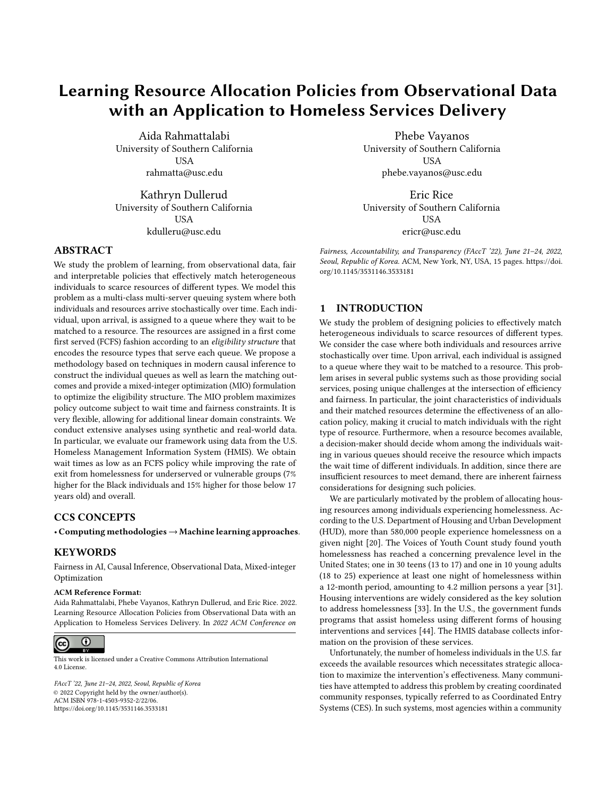FAccT '22, June 21-24, 2022, Seoul, Republic of Korea Aida Rahmatalabi, Phebe Vayanos, Kathryn Dullerud, and Eric Rice

In this formulation,  $\begin{array}{cc} \n \vdots \quad q \in Q \quad q \quad r \in \mathcal{R} \quad r \n\end{array}$  $\int_{0}^{-1}$  and  $\frac{w_q}{q} = q$ ;  $\frac{w_r}{r} =$  $\mu_r$  are rational number representations. Constants W and Z are de-<br>fined as follows:  $W = 1/2 \max \{ \max_{r} , 0.1/\sqrt{m} \}$  and fined as follows:  $W := 1/2 \max\{\max_{q \in Q} 1 / q; \max_{r \in R} 1/\mu_r\}$ , and  $Z := \frac{\text{(max)}}{\text{(max)}}$  $\mu^{(\text{max})}$   $q \in Q$  1/  $q + \frac{1}{r} \in R$  1/ $\mu_r$  + (|Q| + |R| + 1)<sup>2</sup>W,

where  $^{(\text{max})}$  and  $\mu^{(\text{max})}$  are the maximum arrival rate across de-<br>mand (arriving individuals) and resource queues, repectively Conmand (arriving individuals) and resource queues, respectively. Constraints [\(2e\)](#page-4-2) and [\(2f\)](#page-4-3) are the flow balance constraints. Constants  $W$ ; Z ensure that constraints [\(2g\)](#page-4-4)-[\(2k\)](#page-4-5) impose the KKT conditions of the quadratic program that approximates steady-state-flow for a matching topology M. Constraints [\(2l\)](#page-4-6)-[\(2o\)](#page-4-7) enforce a single CRP component to ensure minimum wait time. Finally, constraint [\(2p\)](#page-4-8) collects the fairness constraints where we can use any of the aforementioned examples. In order to solve problem [\(2\)](#page-4-8), we need to estimate  $\sigma r$  and which depend of p, as well as  $\mu$ . Once the queues are fixed, estimating values are straightforward. In addition,  $\mu$ can be easily estimated from the historical provision of resources. In the next section, we discuss how to construct the queues and simultaneously estimate the  $q_r$  values.

## <span id="page-5-0"></span>4 SOLUTION APPROACH

We first partition  $X$  and then estimate CATE in each subset of the partition. We propose to use causal trees to achieve both tasks simultaneously [\[45\]](#page-11-12). Causal trees estimate CATE of binary interventions by partitioning the feature space into sub-populations that differ in the magnitude of their treatment effects. The method is based on regression trees, modified to estimate the goodness-of-fit of treatment effects. A key aspect of using causal trees for partitioning is that the cut points on features are such that the treatment effect variance within each leaf node is minimized. In other words, individuals who are similar in the treatment effect are grouped together in a leaf node. This results in queues that are tied to the treatment effect of resources which will result in improved policy value (see Section [5\)](#page-6-0).

#### 4.1 Assumptions

Causal trees rely on several key assumptions which are standard in causal inference for treatment effect estimation [\[21\]](#page-10-22). These assumptions are usually discussed for the case of binary treatments. Below, we provide a generalized form of the assumptions for multiple treatments.

Assumption 1 (Stable Unit Treatment Value Assumption (SUTVA)). The treatment that one unit (individual) receives does not change the potential outcomes of other units.

Assumption 2 (Consistency). The observed outcome agrees with the potential outcome under the treatment received.

The implication of this assumption is that there are no different forms of each treatment which lead to different potential outcomes. In the housing allocation setting, this requires that there is only one version of PSH, RRH and SO.

Assumption 3 (Positivity). For all feature values, the probability of receiving any form of treatment is strictly positive, i.e.,

$$
P(R = r | X = x) > 0 \; \forall r \in \mathcal{R} \; x \in \mathcal{X}:
$$

<span id="page-5-1"></span>

Figure 2: Example partitioning by sample causal trees for PSH and RRH interventions.

Th positivity assumption states that any individual should have a positive probability of receiving any treatment. Otherwise, there is no information about the distribution of outcome under some treatments and we will not be able to make inferences about it. In Section [5,](#page-6-0) we discuss the implications of this assumption in the context of HMIS data.

Assumption 4 (Conditional Exchangeability). Individuals receiving a treatment should be considered exchangeable, with respect to potential outcomes  $Y(r)$ ;  $r \in \mathcal{R}$ , with those not receiving it and vice versa. Mathematically,

$$
Y(1); \ldots; Y(|\mathcal{R}|) \perp R|\mathbf{X} = \mathbf{x} \; 8\mathbf{x} \in \mathcal{X}:
$$

Conditional exchangeability means that there are no unmeasured confounders that are a common cause of both treatment and outcomes. If unmeasured confounders exist, it is impossible to accurately estimate the causal effects. In observational settings, a decision-maker only relies on passive observations. As a result, in order to increase the plausibility of this assumption, researchers typically include as many features as possible in  $X$  to ensure that as many confounders as possible between treatment and outcome are accounted for. In the housing allocation setting, the HMIS data contains a rich set of features (54 features) associated with different risk factors for homelessness which we use in order to estimate the treatment effects. In Section [6,](#page-9-0) we discuss the consequences of violating the above assumptions.

## 4.2 Building the Partitioning Function

Next, we describe our approach for estimating CATE. We first consider a simple case with binary treatments, i.e.,  $|R| = 2$  as causal trees work primarily for binary treatments. After training the causal tree using the data on a pair of treatments, the leaves induce a partition on the feature space  $\chi$ . Hence, we can view the causal tree as the partitioning function  $p$  where each individual is uniquely mapped to a leaf node, i.e., a queue.

Extending to the case of  $|R| > 2$  is non-trivial. Assuming  $r = 1$ is the baseline intervention, we construct  $|R| - 1$  separate causal trees to estimate CATE for  $r \in \mathcal{R} \setminus \{1\}$ . We denote the resulting causal trees or partitioning functions  $p_r : X \to Q$   $\mathcal{C}r \in \mathcal{R} \setminus \{1\}$ . We define  $X_r(q) = \{x \in \mathcal{X} : p_r(x) = q\}$   $\forall r \in \mathcal{R} \setminus \{1\}; q \in \mathcal{Q}$  as the set of all individuals who belong to queue  $q$  according to partitioning function  $p_r$ . Also, let  $q_r = p_r(\mathbf{x})$ . In order to aggregate the individual partitioning functions to obtain a unified partition on  $X$ , we consider the intersections of  $X_r(q)$  created by each tree. We define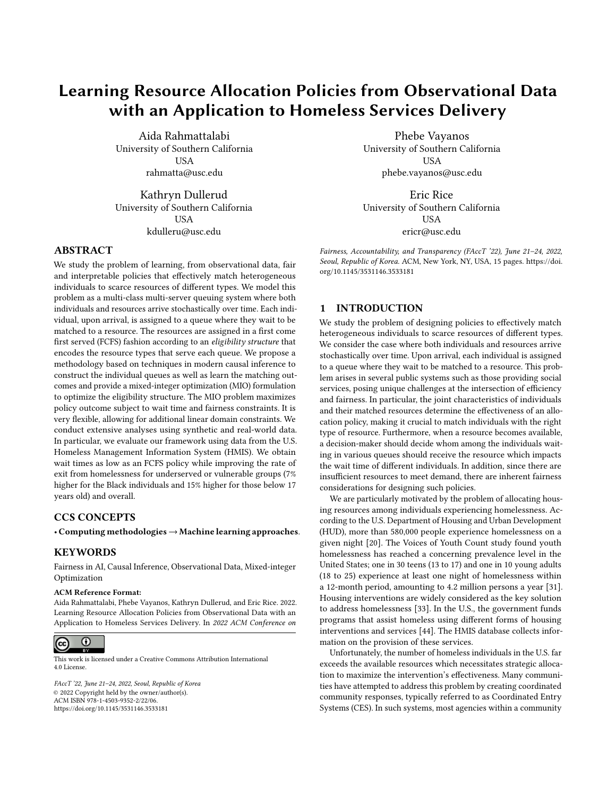subsets  $X(q_1; \ldots; q_{|\mathcal{R}|-1}) = \prod_{r=1}^{\mathbf{N}|\mathcal{R}|-1}$  $\chi_{r=1}^{N_1-1} \chi_r(q_r)$  for all combinations of<br>::  $q_{1/2+1}$  as a new (finer) partition  $q_r \in Q$ . We can view  $X(q_1; \ldots; q_{|R|-1})$  as a new (finer) partition<br>on X. We illustrate with an example using the bousing allocation on  $X$ . We illustrate with an example using the housing allocation setting. Suppose we have constructed two causal trees for PSH and RRH according to Figure [2](#page-5-1) such that PSH tree splits the vulnerability score into intervals of [0; <sup>6</sup>]; [7; <sup>10</sup>]; [11; <sup>17</sup>] and RRH creates [0; <sup>8</sup>]; [9; <sup>17</sup>] subsets. According to our procedure, the final queues are constructed using the intersection of these subsets. In other words, we obtain [0; <sup>6</sup>]; [7; <sup>8</sup>]; [9; <sup>10</sup>]; [11; <sup>17</sup>] which corresponds to four queues. Building queues as the intersection of the tree subsets may result in a large number of queues. However, even though the size of the optimization problem is quadratic in the number of queues, in practice the problem solves relatively quickly (in seconds) for queue number up to 30 which is far more than what is typically seen in practice. In addition, the granularity of the partition, and subsequently the number of queues, can be controlled through the tree depth or the minimum allowable number of data points in each leaf, both of which are adjustable parameters in causal trees. It is noteworthy that while fewer queues result in models that are easily interpretable, more queues allow the decision-makers to leverage the heterogeneity in treatment effect to target the resources to the right individuals, hence achieving higher-valued policies. We explore this trade-off in the experimental result section.

Finally, in order to estimate  $q_r$ , we should avoid using the estimates from each individual tree. The reason is that each tree estimates  $E[Y(r) - Y(1)|p(X) = q; R \in \{1; r\}]$  8 $r \in \mathcal{R} \setminus \{1\}$ . That is, a subset of the data associated with a pair of treatments is used to build each tree. Therefore,  $q_r$  values are not generalizable to the entire population and need to be re-evaluated over all data points that belong to a subset. We adopt Doubly Robust estimator (DR) for this task. Proposed in [\[16\]](#page-10-23), DR combines an outcome regression with a model for the treatment assignment (propensity score) to estimate treatment effects. DR is an unbiased estimate of treatment effects, if at least one of the two models are correctly specified. Hence, it has a higher chance of reliable inference. CATE estimates  $\hat{q}_r$  are provided below.

$$
\hat{q}_r = \overline{I}(r) - \overline{I}(1) r \in \mathcal{R};
$$

where  $T(r) = \frac{1}{|I_q|} \int_{I \in I_q} f(X_i; r) + (Y_i - \hat{X}_i; R_i) \frac{1(R_i - r)}{R_i |X_i|}$  $\frac{\Gamma(R_i = I)}{\Gamma(R_i | X_i)}$  and  $I_q := \{i \in \{1; \ldots; N\} : p(X_i) = q\}$  is the set of indices in the historical data that belongs to  $q$ . Further,  $\hat{q}$  and  $\hat{q}$  are the outcome historical data that belongs to q. Further,  $\hat{ }$  and  $\hat{ }$  are the outcome and historical policy (i.e., propensity score) models, respectively. According to the above expression, all resources are compared to the baseline intervention, hence  $\hat{q}_r = 0$  for  $r = 1$ .

We end this section by discussing a practical consideration which is a desire to design policies that depend on low-dimensional features, such as risk scores. In cases that we only use risk scores, not the full feature vector, it is critical that they satisfy the causal assumptions. We provide a risk score formulation that satisfies this requirement.

**Proposition 3.** We define risk score functions as  $S_r(\mathbf{x}) = P[Y(r) =$  $1|X = x$   $8r \in \mathcal{R}$ . Suppose  $S \in S$  is a (random) vector of risk scores. Also, let  $Y = (Y(1); \dots; Y(|\mathcal{R}|))$  be the vector of potential outcomes. The following statements hold for all  $8x \in X$ ;  $s \in S$ :

(1) 
$$
Y \perp R | X \Rightarrow Y \perp R | S
$$
.  
\n(2)  $P(P(P - r | X - x) > 0) = 0$ 

<span id="page-6-1"></span>(2) 
$$
P(P(R = r | X = x) > 0) = 1 \Rightarrow P(P(R = r | S = s) > 0) = 1:
$$

Under causal assumptions,  $S_r(\mathbf{x}) = P(Y(r) = 1 | \mathbf{X} = \mathbf{x}; R = r)$  =  $P(Y = 1|X = x; R = r)$ , which relies on observed data, rather than counterfactuals. According to Proposition [3,](#page-6-1) as in general individuals respond differently to various treatments, one risk score per resource may be required in order to summarize the information of X. Alternatively, one can utilize the entire set of features in the causal tree and to learn the propensity and outcome models used in the treatment effect estimators.

## <span id="page-6-0"></span>5 COMPUTATIONAL RESULTS

We conduct two sets of experiments to study the performance of our approach to design resource allocation policies: (i) synthetic experiments where the treatment and potential outcomes are generated according to a known model; (ii) experiments on the housing allocation system based on HMIS data for youth experiencing homelessness. We use the causal tree implementation in the grf package in R. We control the partition granularity by changing the minimum node size parameter which is minimum number of observations in each tree leaf. We evaluate policies using three estimators from the causal inference literature [\[16\]](#page-10-23): Inverse Propensity Weighting (IPW) which corrects the mismatch between the historical policy and new policy by re-weighting the data points with their propensity values, Direct Method (DM) which uses regression models to estimate the unobserved outcomes, and DR. In addition, we include objective value of Problem [\(2\)](#page-4-8) obtained by matching flow and CATE estimates (CT). When models of outcome and propensity are correctly specified, the above estimators are all unbiased [\[16\]](#page-10-23).

## 5.1 Synthetic Experiments

We generate synthetic potential outcomes and resource assignments in the HMIS data collected between 2015 and 2017 from 16 communities across the United States [\[11\]](#page-10-24). We use the following setting using vulnerability score S (unless mentioned otherwise):  $\lceil SO|S \rceil$ 0:2) = 0:3,  $\zeta(SO|0:0 < S \le 0:2) = 0.3$  and  $\zeta(SO|S \le 0:0) = 0.3$ . Additionally,  $(RRH|S > 0:2) = 0:2$ ,  $(RRH|0:0 < S \le 0:2) = 0:4$ and  $\Gamma(\text{RRH}|\mathcal{S} \leq 0.0) = 0.3$  and finally,  $\Gamma(\text{PSH}|\mathcal{S} > 0.2) = 0.5$ ,  $^-(PSH|0:0 < S \le 0:2) = 0:3$  and  $^-(PSH|S \le 0:0) = 0:4$ . The potential outcomes are sampled from binomial distributions with probabilities that depend on S. For PSH, we use  $E[Y(PSH)|S \le 0.3] = 0.6$ ,  $E[Y(PSH)|0:3 < S \le 0:5] = 0:2$  and  $E[Y(PSH)|0:5 < S] = 0:6$ . For RRH,  $E[Y(RRH)|S \le 0:2] = 0:2$ ,  $E[Y(RRH)|0:2 < S \le 0:7] = 0:6$ and  $E[Y(RRH)|0:7 < S] = 0:2$ . Finally,  $E[Y(SO)] = 0$ . We evaluate policies obtained by solving Problem [\(2\)](#page-4-8). We use decision trees for outcome and propensity score models.

One of the goals of the synthetic experiments is to compare different estimators in a setting where we observe the potential outcomes. Specifically, we study the performance of the estimators for policy evaluation when propensity values are varied. We generate different datasets by changing the propensity values ¯(PSH|0:<sup>0</sup> <  $S \le 0.2$ ) = and  $^{(RRH|0.0 \lt S \le 0.2) = 0.7 - 6$ r {0:02; <sup>0</sup>:05; <sup>0</sup>:1; <sup>0</sup>:2; <sup>0</sup>:3} and obtain the optimal policy for each dataset. Figure [3a](#page-7-0) shows optimal policy values according to different estimators. We observe that across the x−axis range, DR, DM and CT result in similar estimates which also agrees with the ground truth (GT). However, when the minimum propensity score is small (< <sup>0</sup>:05), IPW diverges from GT. This is consistent with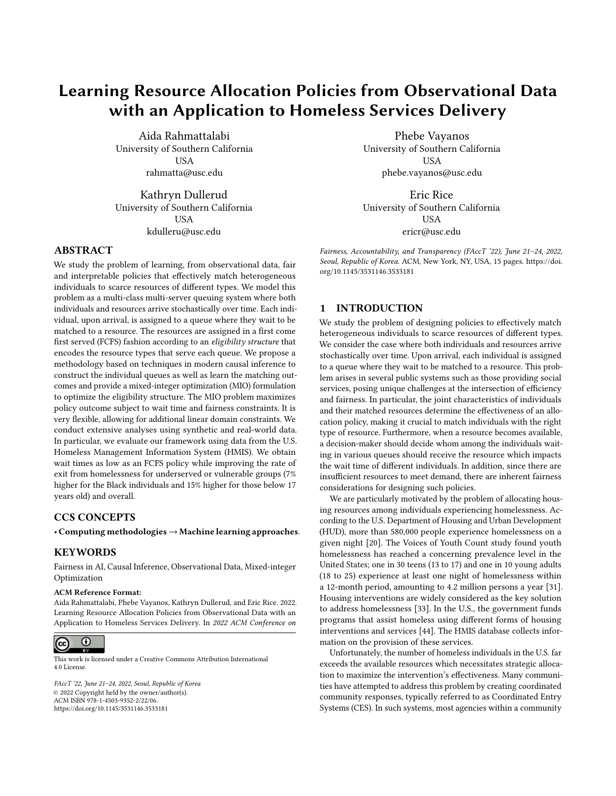

(a) Policy value vs. the minimum propensity value.



(b) Policy value vs. the number of queues.

## Figure 3: Synthetic data. Each line corresponds to a different estimator.

other findings in the literature suggesting that when propensities are too close to 0 or 1, non-parametric estimators tend to have higher variance and converge at a slower rate (with the number of data points) [\[26\]](#page-10-25).

Next, we investigate the effect of treatment heterogeneity on the value of the optimal policy. In particular, we study how much the granularity of partitions, or the number of queues, impacts the policy value. Figure [3b](#page-7-0) summarizes the results. When the number of queues is equal to 1, the optimal policy is at its minimum value. In this case, the policy corresponds to an FCFS policy as individuals queue in a single line and are prioritized according to the their arrival times. The optimal policy value gradually increases (∼ 25% according to GT) as the number of queues increases until it flattens. This suggests that by increasing the number of queues, we can leverage the treatment effect heterogeneity across the queues to allocate resources more efficiently.

## 5.2 HMIS Data of Youth Experiencing Homelessness

We now showcase the performance of our approach to design policies that allocate resource among the U.S. homeless youth. We defer the details on data preparation to the Appendix.

#### 5.3 Data Pre-Processing and Estimation

Outcome Definition. We focus on the likelihood of stable exit from homelessness. An exit from the system can be to any of the follow-

<span id="page-7-0"></span>FAccT '22, June 21-24, 2022, Seoul, Republic of Korea Aida Rahmatalabi, Phebe Vayanos, Kathryn Dullerud, and Eric Rice

<span id="page-7-1"></span>



ing destinations: "family," "self-resolved," "RRH," "PSH," "deceased," or "incarcerated." Exiting due to incarceration or being deceased are undesirable outcomes and are encoded as  $Y = 0$  (left branch). "Family," "self-resolve," "RRH," and "PSH" are desirable outcomes but may be temporary exits, meaning that the individual may return to homelessness shortly after. In addition, there are recorded exits that are simply due to a "move" in the system from one service to another. We distinguish between these cases by checking whether an individual is "still housed", i.e., is at the stable exit destination. If re-housed, we consider a 30-day threshold to decide whether it is a return to homelessness ( $Y = 0$ ) or a move in the system ( $Y = 1$ ). This procedure for defining outcome is summarized in Figure [4a.](#page-7-1) Propensity Estimation. In order to obtain an unbiased estimation of the policy value, IPW and DR approaches rely on propensity values. In our setting, the propensities are unknown but can be estimated from data. This poses a challenge to find a model that fits the data while being well-calibrated. We use different statistical models for multi-class classification to estimate  $P(R = r | X = x)$ ;  $8r \in \mathcal{R}$ . We evaluate models based on the predictive power, calibration, and fairness. For fairness, we adopt the test fairness criteria in [\[12\]](#page-10-26) since evaluating the policy value across different protected groups requires propensity values that are well-calibrated for those groups. We defer the details on model selection to the Appendix. We note that the original dataset does not satisfy the positivity assumption. That is, some groups of individuals have only received a subset of the resources. Therefore, for data points with propensities less than 0.001, we follow the status-quo policy and we exclude them from the policy optimization.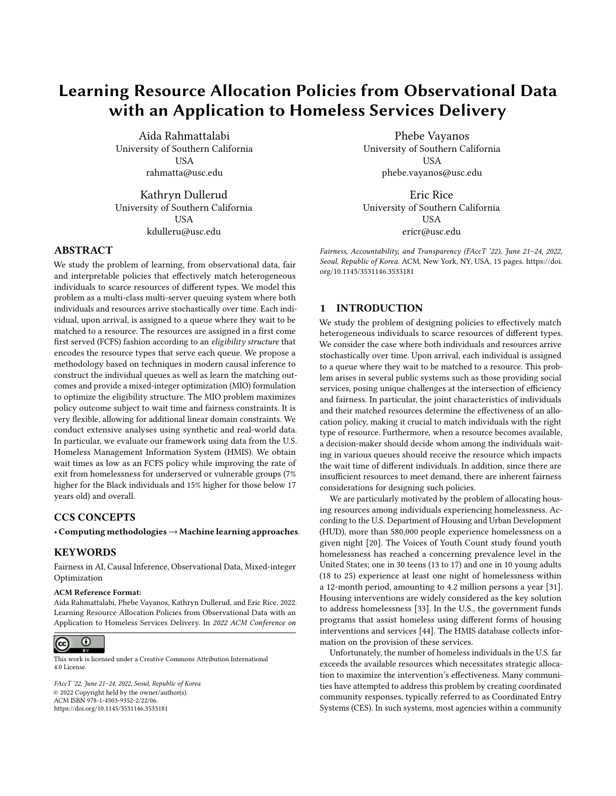Outcome Estimation. DM and DR methods rely on a model of the outcome under different resources. We compare an array of models in terms of accuracy, calibration, and test-fairness. The results are summarized in the Appendix.

Heterogenous Treatment Effect Estimation. We use causal trees with minimum node size equal to 15 to estimate the average treatment effects across the NST score range for RRH and PSH. According to Figure [4b,](#page-7-1) PSH consistently has a higher treatment effect than RRH indicating that it is a more effective resource. Further, the treatment effect of both resources increase with score which suggests that higher-scored individuals benefit more from these resources. We also provide results on the (unbiased) probability of exiting homelessness versus NST score in the Appendix.

Arrival Rate. Once the queues are constructed, we estimate the arrival rate of individuals from data. Given the heavy-traffic condition, we calculate the required rate of SO as  $\mu_{\text{SO}} = \max$   $Q - \mu_{\text{RRH}} - \mu_{\text{PSH}}$ ; 0. Further, in the HMIS data the resource arrival rates vary with time. In particular, between 2016 and 2017 there is a sharp decrease in the rate of PSH and RRH. Since the rate of resources is often known a-priori to the organisations, in the test data we re-evaluate the arrival rates and re-optimize according to those parameters.

## 5.4 Policy Optimization Results

We now present the policy optimization results along three distinct objectives: policy value measured in terms of rate of stable exit from homelessness, fairness by race and age, and wait time. Table [1](#page-9-1) summarizes the results, where OPT is the optimal policy value without fairness constraints and OPT-fair (race), and OPT-fair (age) represent our method with fairness constraints over race and age, respectively. As baselines, we simulate both a fully FCFS policy and the status quo policy SQ (see Figure [1\)](#page-1-0). We also compare with the deployed policy in the data SQ (data). As IPW suffers in smallpropensity settings, we exclude it from the estimators.

From Table [1,](#page-9-1) OPT, OPT-fair (race), and OPT-far (age) all outperform the baseline policies. Specifically, OPT significantly improves the rate of stable exit from homelessness by 19% and 13% (under DR estimates) over SQ and FCFS policies, respectively. Perhaps surprisingly, SQ performs worse than FCFS which is due to how the cut scores are designed. According to SQ individuals with scores 4-7 are matched to RRH. However, the RRH treatment effect is highest for scores above 7 (See Figure [4b\)](#page-7-1). Compared to SQ (data), our policy values are competitive. We improve the wait time over SQ and SQ (data) by 21% and 9%, respectively and obtain values similar to FCFS policy. This is because we have imposed constraints that ensure a single CRP component and subsequently minimum wait time. As a result, further algorithmic improvement is not possible unless problem inputs, such as resource arrival rates, change. We note that it is possible to relax the wait time constraints such that the average wait time is not minimum [\[2\]](#page-10-13). In our setting, this did not lead to an improvement in the policy value. Finally, we observe that OPT and OPT-fair have similar policy values, indicating a small cost for fairness. This can be explained by the fact that OPT-fair optimizes over queues split by both the protected attribute and risk score, which provides more flexibility to target the resources to different protected groups despite the problem being more constrained. Figure [5](#page-8-0) compares the worst-case rate of exiting homelessness across OPT

<span id="page-8-0"></span>

## Figure 5: Out-of-sample rates of exit from homelessness by race (left panel) and age (right panel) using the DR estimator.

age (below and over 17 years old) and racial groups (White, Black, and Other) according to DR estimator and in the test data. First, we observe that an FCFS policy does not necessarily result in policies that are fair in terms of their outcomes neither by age nor by race. This is because FCFS policies ignore treatment effect heterogeneity. In other words, according to the FCFS discipline, everyone has the same probability of receiving any one of the resource types (fairness in allocation). However, not everyone benefits equally from the resources. Indeed, Black individuals seem to suffer the most under a fully FCFS policy. SQ also yields a low worst-case performance mainly due its low overall performance. SQ (data) has relatively better worst-case performance. However, there is still a significant gap between the performance of Black/Other groups and Whites. By explicitly imposing fairness constraints on policy outcomes across protected groups, OPT-Fair significantly improves the performance for the Black and Other groups. Figure [5,](#page-8-0) similar observations can be made for fairness by age, where compared to baselines, OPT-Fair exhibits significant improvements in the policy value for those with age below 17.

<span id="page-8-1"></span>We now present a schematic diagram of OPT and OPT-fair matching topologies. Figure [6](#page-8-1) is the matching topology corresponding to OPT policy. Compared to SQ, OPT uses different cut points on NST score, specifically for the lower-scoring individuals. Across



Figure 6: Optimal Topology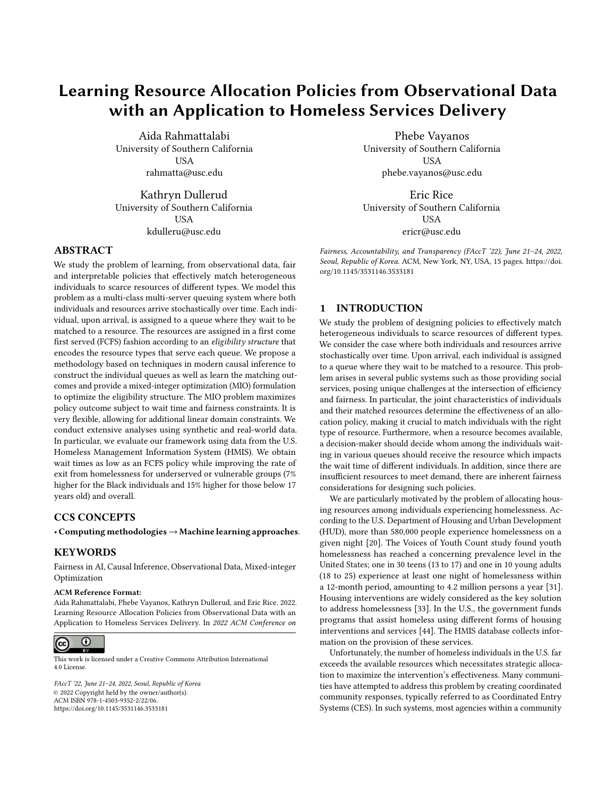<span id="page-9-1"></span>

| Policy          |      | Rates of Stable Exit from Homelessness | Wait Time (days) |        |
|-----------------|------|----------------------------------------|------------------|--------|
|                 | CT.  | DМ                                     | DR               |        |
| OPT             | 0.76 | 0.74                                   | 0.75             | 142.67 |
| OPT-Fair (race) | 0.76 | 0.75                                   | 0.76             | 142.64 |
| OPT-Fair (age)  | 0.76 | 0.75                                   | 0.75             | 142.64 |
| <b>FCFS</b>     | 0.68 | 0.68                                   | 0.66             | 142.64 |
| SQ              | 0.66 | 0.63                                   | 0.63             | 182.21 |
| SO (data)       | 0.73 | 0.73                                   | 0.73             | 156.77 |

<span id="page-9-2"></span>Table 1: Out-of-sample estimated policy value measured in terms of rates of stable exit from homelessness and wait times.



Figure 7: Optimal and fair matching topology by race. Individuals are divided into four different score groups:  $S < 6$ ,  $S = \{6\}, S = \{7, 8\}, S > 8$ . Queues are constructed based on score groups and race jointly. Solid lines indicate that a resource is connected to the entire score group (a collection of queues). Dotted lines indicate connection to a single queue within the score group. For example, SO is only connected to the individuals with  $S = \{6\}$  and race White.

the four score groups, we observe a gradual transition from eligibility for a more resource-intensive intervention (PSH) to a basic intervention (SO). Figure [7](#page-9-2) depicts OPT-fair topology for fairness on race, in which queues are constructed using the joint values of NST score and race. According to this figure, PSH is matched to all individuals with scores above 9 as well as mid-scoring Black individuals, i.e.,  $6 \leq$  score  $\leq$  9. RRH is connected to every individual in the mid-score range. Our modeling strategy uses the protected characteristics in order to ensure fairness. This is motivated by discussions with our community advisory board, including housing providers/matchers and people with past history of homelessness, who suggested that in order to create a fair housing allocation system there ought to be special accommodations for historically disadvantaged people. Our policies align with affirmative action

<span id="page-9-3"></span>

Figure 8: Fair topology when queues are not divided by race.

policies that take individuals' protected attributes into account in order to overcome present disparities of past practices, policies, or barriers by prioritizing resources for underserved or vulnerable groups. In this regard, recently HUD restored Affirmatively Furthering Fair Housing rule that requires "HUD to administer its programs and activities relating to housing and urban development in a manner that affirmatively furthers the purposes of the Fair Housing Act", extending the existing non-discrimination mandates [\[13\]](#page-10-27).

Our approach can also be extended to non-affirmative policies. This is possible by imposing constraints that ensure a topology has the same connections to all protected groups within a score group. Such constraints are expressible as linear constraints and can be easily incorporated in Problem [\(2\)](#page-4-8). We demonstrate the result for fairness on race in Figure [8.](#page-9-3) We observe that all individuals who belong to a certain queue, regardless of their race, are eligible for the same types of resources. However, as a result of combining the queues, the worst-case policy value across the racial groups decreases from 0.76 to 0.73 which still outperforms SQ and SQ (data) with worse-case value of 0.61 and 0.69, respectively. We defer the results for fairness by age to Appendix.

## <span id="page-9-0"></span>6 RESEARCH ETHICS AND SOCIAL IMPACT

Recently, there has been a significant growth in algorithms that assist decision-making across various domains [\[19,](#page-10-28) [30,](#page-10-29) [41,](#page-11-13) [43\]](#page-11-14). Homelessness is a pressing societal problem with complex fairness considerations which can benefit greatly from data-driven solutions. As empirical evidence on ethical side effects of algorithmic decisionmaking is growing, care needs to be taken to minimize the possibility of indirect or unintentional harms of such systems. We take steps towards this goal. Specifically, we propose interpretable datadriven policies that make it easy for a decision-maker to identify and prevent potential harms. Further, we center our development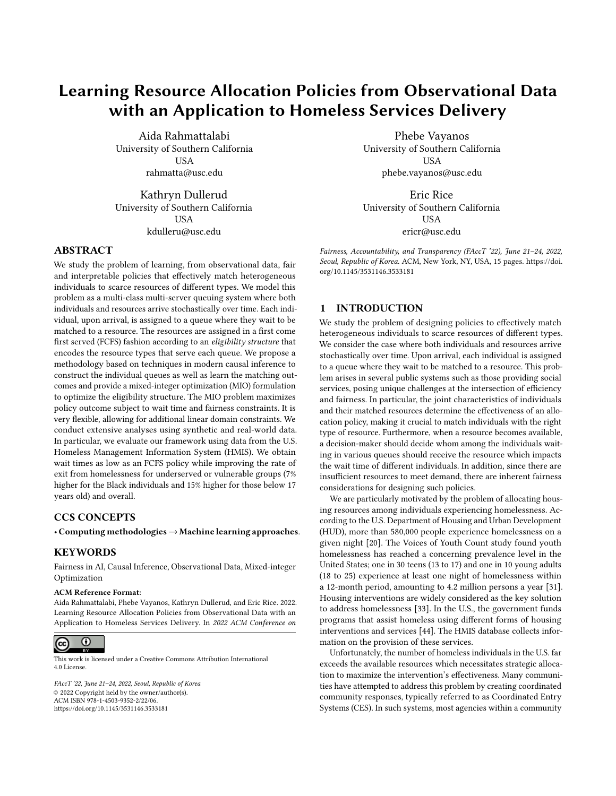around issues of fairness that can creep into data from different sources such as past discriminatory practices. We provide a flexible framework to design policies that overcome such disparities while ensuring efficient allocations in terms of wait time and policy outcome.

There are also crucial consideration before applying our framework in real-world. Our approach relies on several key assumptions about the data. Specifically, the consistency assumption requires that there is only one version of PSH, RRH, and SO. In practice, different organizations may implement different variants of these interventions. For example, combining substance abuse intervention with PSH and RRH. Such granular information about the interventions, however, is not currently recorded in the data which may impact CATE estimates. Further, the exchangeability assumption requires that there are no unobserved confounders between treatment assignment and outcomes. Even though our dataset consists of a rich set of features for each individual, in practice, unobserved factors may influence the allocation of resources which calls for more rigorous inspection of service assignment processes. Unobserved confounders may lead to biased estimates of treatment effects which in turn impacts the allocation policies. In addition, our dataset consists of samples from 16 communities across the U.S., which may not be representative of new communities or populations. Hence, the external validity of such policies should be carefully studied before applying to new populations. Finally, there are other domainspecific constraints that we have not considered as they require collecting additional data. For example, resources can not be moved between different CoCs. We leave such considerations to future work.

## ACKNOWLEDGMENTS

P. Vayanos and E. Rice gratefully acknowledge support from the Hilton C. Foundation, the Homeless Policy Research Institute, and the Home for Good foundation under the "C.E.S. Triage Tool Research & Refinement" grant. P. Vayanos is also grateful for the support of the National Science Foundation under CAREER award number 2046230. Finally, we thank the project's community advisory board for helpful discussions throughout the development of this work.

#### REFERENCES

- <span id="page-10-21"></span>[1] Ivo Adan and Gideon Weiss. 2014. A skill based parallel service system under FCFS-ALIS — steady state, overloads, and abandonments. Stochastic Systems 4, 1 (2014), 250–299.<https://doi.org/10.1214/13-ssy117>
- <span id="page-10-13"></span>[2] Philipp Afèche, René Caldentey, and Varun Gupta. 2021. On the Optimal Design of a Bipartite Matching Queueing System. Operations Research (2021). [https:](https://doi.org/10.1287/opre.2020.2027) [//doi.org/10.1287/opre.2020.2027](https://doi.org/10.1287/opre.2020.2027)
- <span id="page-10-12"></span>[3] Nick Arnosti and Peng Shi. 2019. How (Not) to Allocate Affordable Housing. AEA Papers and Proceedings 109 (2019).<https://doi.org/10.1257/pandp.20191031>
- <span id="page-10-5"></span>[4] Nick Arnosti and Peng Shi. 2020. Design of Lotteries and Wait-Lists for Affordable Housing Allocation. Management Science 66, 6 (2020). [https://doi.org/10.1287/](https://doi.org/10.1287/mnsc.2019.3311) [mnsc.2019.3311](https://doi.org/10.1287/mnsc.2019.3311)
- <span id="page-10-7"></span>[5] Bariş Ata and Mustafa H. Tongarlak. 2013. On scheduling a multiclass queue with abandonments under general delay costs. Queueing Systems 74, 1 (2013), 65–104.<https://doi.org/10.1007/s11134-012-9326-6>
- <span id="page-10-17"></span>[6] Mohammad Javad Azizi, Phebe Vayanos, Bryan Wilder, Eric Rice, and Milind Tambe. 2018. Designing fair, efficient, and interpretable policies for prioritizing homeless youth for housing resources. In Lecture Notes in Computer Science (including subseries Lecture Notes in Artificial Intelligence and Lecture Notes in Bioinformatics), Vol. 10848 LNCS. Springer, Cham, Delft, The Netherlands, 35–51. [https://doi.org/10.1007/978-3-319-93031-2{\\_}3](https://doi.org/10.1007/978-3-319-93031-2{_}3)
- <span id="page-10-4"></span>[7] Chaithanya Bandi, Nikolaos Trichakis, and Phebe Vayanos. 2019. Robust multiclass queuing theory for wait time estimation in resource allocation systems. Management Science 65, 1 (2019), 152–187.<https://doi.org/10.1287/mnsc.2017.2948>
- <span id="page-10-18"></span>Dimitris Bertsimas, Jack Dunn, and Nishanth Mundru. 2019. Optimal Prescriptive Trees. INFORMS Journal on Optimization 1, 2 (2019), 164–183. [https://doi.org/10.](https://doi.org/10.1287/ijoo.2018.0005) [1287/ijoo.2018.0005](https://doi.org/10.1287/ijoo.2018.0005)
- <span id="page-10-14"></span>[9] Dimitris Bertsimas, Vivek F. Farias, and Nikolaos Trichakis. 2013. Fairness, efficiency, and flexibility in organ allocation for kidney transplantation. Operations Research 61, 1 (2013), 73–87.<https://doi.org/10.1287/opre.1120.1138>
- <span id="page-10-9"></span>[10] Francisco Castro, Hamid Nazerzadeh, and Chiwei Yan. 2020. Matching queues with reneging: a product form solution. Queueing Systems 96, 3-4 (2020), 359-385. <https://doi.org/10.1007/s11134-020-09662-y>
- <span id="page-10-24"></span>[11] Hau Chan, Eric Rice, Phebe Vayanos, Milind Tambe, and Matthew Morton. 2017. Evidence from the past: AI decision AIDS to improve housing systems for homeless youth. In AAAI Fall Symposium - Technical Report, Vol. FS-17-01 - FS-17-05. AAAI Press, Stanford University, United States.
- <span id="page-10-26"></span>[12] Alexandra Chouldechova. 2017. Fair Prediction with Disparate Impact: A Study of Bias in Recidivism Prediction Instruments. Big Data 5, 2 (2017), 153–163. <https://doi.org/10.1089/big.2016.0047>
- <span id="page-10-27"></span>[13] Department of Housing and Urban Development. 2021. Restoring Affirmatively Furthering Fair Housing Definitions and Certifications. Technical Report. Office of Fair Housing and Equal Opportunity, HUD.
- <span id="page-10-15"></span>[14] John P. Dickerson and Tuomas Sandholm. 2015. FutureMatch: Combining human value judgments and machine learning to match in dynamic environments. In Proceedings of the National Conference on Artificial Intelligence, Vol. 1. AAAI press, Austin, Texas, United States, 622–628.
- <span id="page-10-11"></span>[15] Yichuan Ding, S. Thomas McCormick, and Mahesh Nagarajan. 2021. A fluid model for one-sided bipartite matching queues with match-dependent rewards. Operations Research 69, 4 (2021).<https://doi.org/10.1287/opre.2020.2015>
- <span id="page-10-23"></span>[16] Miroslav Dudik, John Langford, and Hong Li. 2011. Doubly robust policy evaluation and learning. In Proceedings of the 28th International Conference on Machine Learning, ICML 2011. Omnipress 2600 Anderson St Madison WI United States, Bellevue Washington USA, 1097–1104.
- <span id="page-10-10"></span>[17] Mohammad M. Fazel-Zarandi and Edward H. Kaplan. 2018. Approximating the first-come, first-served stochastic matching model with Ohm's law. Operations Research 66, 5 (2018), 1423–1432.<https://doi.org/10.1287/opre.2018.1737>
- <span id="page-10-2"></span>[18] Vincent A. Fusaro, Helen G. Levy, and H. Luke Shaefer. 2018. Racial and Ethnic Disparities in the Lifetime Prevalence of Homelessness in the United States. Demography 55, 6 (2018), 2119–2128.<https://doi.org/10.1007/s13524-018-0717-0>
- <span id="page-10-28"></span>[19] Steven N. Goodman, Sharad Goel, and Mark R. Cullen. 2018. Machine learning, health disparities, and causal reasoning.<https://doi.org/10.7326/M18-3297>
- <span id="page-10-0"></span>[20] Meghan Henry, Tanya de Sousa, Caroline Roddey, Swati Gayen, Thomas Joe Bednar, and Abt Associates. 2020. AHAR: Part 1—PIT Estimates of Homelessness in the US HUD Exchange. Technical Report. The U.S. Department of Housing and Urban Development, Office of Community Planning and Development.
- <span id="page-10-22"></span>[21] Miguel a Hernán and James M Robins. 2013. Causal Inference Book. Http://Www.Hsph.Harvard.Edu/Miguel-Hernan/Causal-Inference-Book/ (2013).
- <span id="page-10-3"></span>[22] C Hill, H Hsu, M Holguin, M Morton, H Winetrobe, and E Rice. 2021. An examination of housing interventions among youth experiencing homelessness: an investigation into racial/ethnic and sexual minority status. Journal of Public Health (2021).<https://doi.org/10.1093/pubmed/fdab295>
- <span id="page-10-19"></span>[23] Nathanael Jo, Sina Aghaei, Andres Gomez, and Phebe Vayanos. 2021. Learning Optimal Prescriptive Trees from Observational Data. (2021).
- <span id="page-10-6"></span>[24] Edward Harris Kaplan. 1984. Managing the Demand for Public Housing. Ph.D. Dissertation. MIT.
- <span id="page-10-16"></span>[25] Moniba Keymanesh, Tanya Berger-Wolf, Micha Elsner, and Srinivasan Parthasarathy. 2021. Fairness-aware Summarization for Justified Decision-Making.
- <span id="page-10-25"></span>[26] Shakeer Khan and Elie Tamer. 2010. Irregular Identification, Support Conditions, and Inverse Weight Estimation. Econometrica 78, 6 (2010), 2021–2042. [https:](https://doi.org/10.3982/ecta7372) [//doi.org/10.3982/ecta7372](https://doi.org/10.3982/ecta7372)
- <span id="page-10-20"></span>Amanda Kube, Sanmay Das, and Patrick J. Fowler. 2019. Allocating interventions based on predicted outcomes: A case study on homelessness services. In 33rd AAAI Conference on Artificial Intelligence, AAAI 2019, 31st Innovative Applications of Artificial Intelligence Conference, IAAI 2019 and the 9th AAAI Symposium on Educational Advances in Artificial Intelligence, EAAI 2019. AAAI Press, Honolulu, Hawaii, United States, 622–629.<https://doi.org/10.1609/aaai.v33i01.3301622>
- <span id="page-10-8"></span>[28] Avishai Mandelbaum and Alexander L. Stolyar. 2004. Scheduling flexible servers with convex delay costs: Heavy-traffic optimality of the generalized  $c\mu$ -rule. Operations Research 52, 6 (2004), 836–855.<https://doi.org/10.1287/opre.1040.0152>
- <span id="page-10-1"></span>[29] Norweeta Milburn, Earl Edwards, Dean Obermark, and Janey Rountree. 2021. Inequity in the Permanent Supportive Housing System in Los Angeles: Scale, Scope and Reasons for Black Residents' Returns to Homelessness. Technical Report. California Policy Lab.
- <span id="page-10-29"></span>[30] John Monahan and Jennifer L. Skeem. 2016. Risk Assessment in Criminal Sentencing. Annual Review of Clinical Psychology 12 (2016). [https://doi.org/10.1146/](https://doi.org/10.1146/annurev-clinpsy-021815-092945) [annurev-clinpsy-021815-092945](https://doi.org/10.1146/annurev-clinpsy-021815-092945)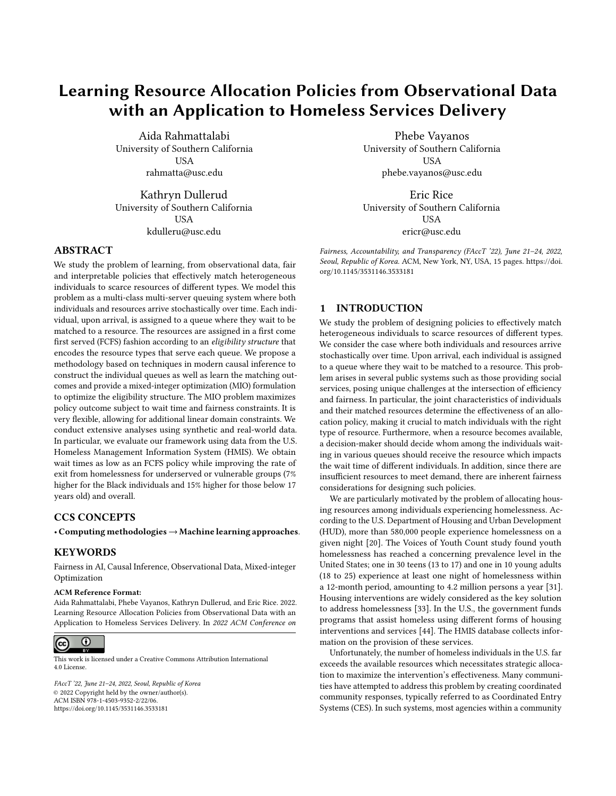- <span id="page-11-0"></span>[31] Matthew H. Morton, Amy Dworsky, Jennifer L. Matjasko, Susanna R. Curry, David Schlueter, Raúl Chávez, and Anne F. Farrell. 2018. Prevalence and Correlates of Youth Homelessness in the United States. Journal of Adolescent Health 62, 1 (2018).<https://doi.org/10.1016/j.jadohealth.2017.10.006>
- <span id="page-11-8"></span>[32] Quan Nguyen, Sanmay Das, and Roman Garnett. 2021. Scarce Societal Resource Allocation and the Price of (Local) Justice. In Proceedings of the AAAI Conference on Artificial Intelligence. AAAI Press, Virtual Conference, 5628–5636.
- <span id="page-11-1"></span>[33] U.S. Dept. of Housing, Office of Policy Development Urban Development, and Research. 2007. The applicability of housing first models to homeless persons with serious mental illness: Final report. Technical Report. OFFICE OF POLICY DEVELOPMENT AND RESEARCH (PD&R).
- <span id="page-11-4"></span>[34] Orgcode. 2015. Transition Age Youth – Vulnerability Index – Service Prioritization Decision Assistance Tool (TAY-VI-SPDAT): Next Step Tool for Homeless Youth. Technical Report. http://ctagroup.org/wp-content/uploads/2015/10/Y-SPDAT-v1.0- Youth-Print.pdf.
- <span id="page-11-6"></span>[35] OrgCode. 2020. The Time Seems Right: Let's Begin the End of the VI-SPDAT.
- <span id="page-11-7"></span>[36] Aida Rahmattalabi, Shahin Jabbari, Himabindu Lakkaraju, Phebe Vayanos, Max Izenberg, Ryan Brown, Eric Rice, and Milind Tambe. 2021. Fair Influence Maximization: A Welfare Optimization Approach. In Proceedings of 35th AAAI Conference on Artificial Intelligence. AAAI Press, New York, United States, 11630–11638.
- <span id="page-11-10"></span>[37] Aida Rahmattalabi, Phebe Vayanos, Anthony Fulginiti, Eric Rice, Bryan Wilder, Amulya Yadav, and Milind Tambe. 2019. Exploring algorithmic fairness in robust graph covering problems. In *Advances in Neural Information Processing Systems,*<br>Vol. 32. MIT Press, Vancouver, Canada, 15776–15787.
- <span id="page-11-11"></span>[38] John Rawls. 1999. Theory of justice. Revised Edition.
- <span id="page-11-3"></span>[39] Eric Rice. 2017. Assessment Tools for Prioritizing Housing Resources for Homeless Youth.
- <span id="page-11-5"></span>[40] Eric Rice, Monique Holguin, Hsun-Ta Hsu, Matthew Morton, Phebe Vayanos, Milind Tambe, and Hau Chan. 2018. Linking Homelessness Vulnerability Assessments to Housing Placements and Outcomes for Youth. CITYSCAPE 20, 3 (2018), 69–86.
- <span id="page-11-13"></span>[41] Lisa Rice and Deidre Swesnik. 2012. Discriminatory effects of credit scoring on communities of color.
- <span id="page-11-9"></span>[42] Donald B Rubin. 2005. Causal Inference Using Potential Outcomes. J. Amer. Statist. Assoc. 100, 469 (2005), 322–331.<https://doi.org/10.1198/016214504000001880>
- <span id="page-11-14"></span>[43] Tom Simonite. 2020. Meet the secret algorithm that's keeping students out of college.
- <span id="page-11-2"></span>[44] United States Interagency Council on Homelessness. 2015. Opening doors: Federal strategic plan to prevent and end homelessness. Technical Report. US Interagency Council on Homelessness.
- <span id="page-11-12"></span>[45] Stefan Wager and Susan Athey. 2018. Estimation and Inference of Heterogeneous Treatment Effects using Random Forests. J. Amer. Statist. Assoc. 113, 523 (2018), 1228–1242.<https://doi.org/10.1080/01621459.2017.1319839>

## A APPENDIX

## A.1 Supplemental Material: Proof of Proposition [2](#page-3-1)

**Proof.** We let the  $X_q = 1$  be the event where  $P(X) = q(X_q = 0)$ otherwise). Using this notation, we can write:

$$
V(N) = E \begin{pmatrix} 1 & 1 & 1 \\ 1 & 1 & 1 \\ 0 & 0 & 1 \\ 0 & 0 & 0 \\ 0 & 0 & 0 \\ 0 & 0 & 0 \\ 0 & 0 & 0 \\ 0 & 0 & 0 \\ 0 & 0 & 0 \\ 0 & 0 & 0 \\ 0 & 0 & 0 \\ 0 & 0 & 0 \\ 0 & 0 & 0 \\ 0 & 0 & 0 \\ 0 & 0 & 0 \\ 0 & 0 & 0 \\ 0 & 0 & 0 \\ 0 & 0 & 0 \\ 0 & 0 & 0 \\ 0 & 0 & 0 \\ 0 & 0 & 0 \\ 0 & 0 & 0 \\ 0 & 0 & 0 \\ 0 & 0 & 0 \\ 0 & 0 & 0 \\ 0 & 0 & 0 \\ 0 & 0 & 0 \\ 0 & 0 & 0 \\ 0 & 0 & 0 \\ 0 & 0 & 0 \\ 0 & 0 & 0 \\ 0 & 0 & 0 \\ 0 & 0 & 0 \\ 0 & 0 & 0 \\ 0 & 0 & 0 \\ 0 & 0 & 0 \\ 0 & 0 & 0 \\ 0 & 0 & 0 \\ 0 & 0 & 0 \\ 0 & 0 & 0 \\ 0 & 0 & 0 \\ 0 & 0 & 0 \\ 0 & 0 & 0 \\ 0 & 0 & 0 \\ 0 & 0 & 0 \\ 0 & 0 & 0 \\ 0 & 0 & 0 \\ 0 & 0 & 0 \\ 0 & 0 & 0 \\ 0 & 0 & 0 \\ 0 & 0 & 0 \\ 0 & 0 & 0 \\ 0 & 0 & 0 \\ 0 & 0 & 0 \\ 0 & 0 & 0 \\ 0 & 0 & 0 \\ 0 & 0 & 0 \\ 0 & 0 & 0 \\ 0 & 0 & 0 \\ 0 & 0 & 0 \\ 0 & 0 & 0 \\ 0 & 0 & 0 \\ 0 & 0 & 0 \\ 0 & 0 & 0 \\ 0 & 0 & 0 \\ 0 & 0 & 0 \\ 0 & 0 & 0 \\ 0 & 0 & 0 \\ 0 & 0 & 0 \\ 0 & 0 & 0 \\ 0 & 0 & 0 \\ 0 & 0 & 0 \\ 0 & 0 & 0 \\ 0 & 0 & 0 \\ 0 & 0 & 0 \\ 0 & 0 & 0 \\ 0 & 0 & 0 \\ 0 & 0 & 0 \\ 0 & 0 & 0 \\ 0 & 0 & 0 \\ 0 & 0 & 0 \\ 0 & 0 & 0 \\ 0 & 0 & 0 \\
$$

where  $C = \int_{q \in Q} P(X_q = 1) E Y(0) X_q = 1 = E[Y(0)]$ :

## A.2 Supplemental Material: Proof of Proposition [3](#page-6-1)

Proof. We first prove part one and show the conditional independence for each component  $Y_r$  of the potential outcome vector. The proof is in the same vein as the balancing scores in the causal inference literature which is essentially a low-dimensional summary of the feature space that facilitates causal inference for observational data in settings with many features. For binary potential outcomes, we have

$$
P(Y_r = 1 | S; R) = E[Y_r | S; R]
$$
  
= E [E [Y\_r | S; R; X] | S; R]  
= E [E [Y\_r | S; X] | S; R]  
= E [E [Y\_r | X] | S; R]  
= E [S\_r | S; R]  
= S\_r;

where the third line follows the assumption of the proposition and the fourth line holds since  $S$  is essentially a function of  $X$  and can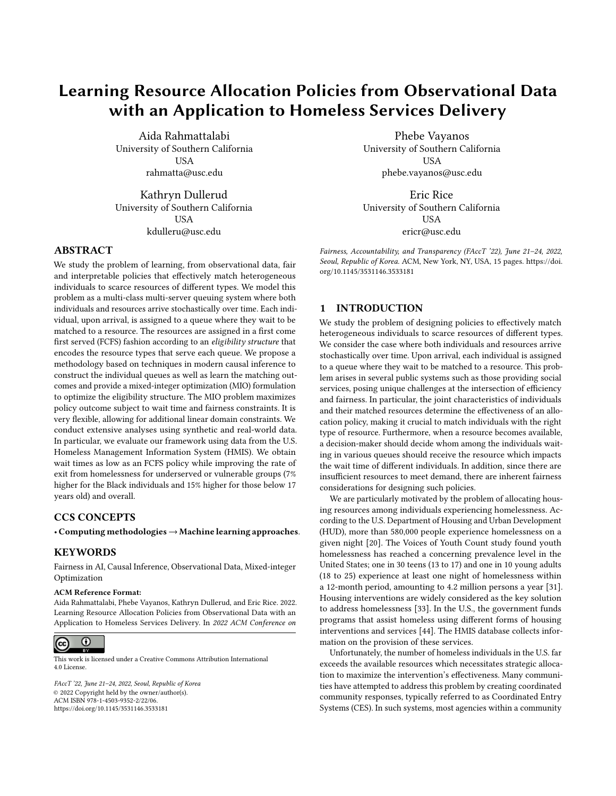be dropped. We also show

$$
P(Y_r = 1 | S) = E[Y_r | S]
$$
  
= E [E[Y\_r | S; X] | S]  
= E [E[Y\_r | X] | S]  
= E [S\_r | S]  
= S\_r:

We proved  $P(Y_r = 1 | S; R) = P(Y_r = 1 | S)$ . We now prove the second part of the proposition.

$$
P(P(R = r | X = x) > 0) = 1 \Rightarrow P(P(R = r; X = x) > 0) = 1
$$

$$
P(P(R = r; X = x) > 0) = P(P(R = r; X = x; S = s) > 0)
$$
  
\n $\leq P(P(R = r; S = s) > 0)$ :

It follows that  $P(P(R = r; S = s) > 0) = 1$  for all values of s.

## B SUPPLEMENTAL MATERIAL: COMPUTATIONAL RESULTS

HMIS Data Preparation. We used HMIS dataset collected between 2015 and 2017 across 16 communities in the United States. The dataset contains 10,922 homeless youth and 3464 PSH and RRH resources combined. We removed all those with veteran status (54 data points), pending and unknown outcomes (4713 data points). We grouped Hawaiian/Pacific Islander, Native American, Hispanics, Asian under 'Other' category as no significant statistical inference can be made on small set of observations within each individual category. Further, we removed 6 data points with no gender information. We use a median date 08/13/2015 as the cut-off date to separate train and test sets.

Outcome Estimation. Figure [9](#page-12-0) depicts the average outcome across different score values  $E[Y(r) | S = s]$   $8r \in \mathcal{R}$ ; using the DR estimate. Under SO, after  $S = 8$ , there is a significant drop in average outcome. Average outcomes under PSH and RRH also exhibit a decline with score. However, they remain highly effective even for high-scoring youth.

Propensity Score. In order to evaluate different policies using IPW and DR methods, we estimated the propensity scores, i.e.,

<span id="page-12-0"></span>

Figure 9: Probability of exiting homelessness across the NST score range estimated using the DR method.

<span id="page-12-1"></span>

|                  | Model                  | In-Sample Accuracy (%) |
|------------------|------------------------|------------------------|
|                  | Multinomial Regression | 72.5                   |
| <b>NST Score</b> | Neural Network         | 76.4                   |
|                  | Decision Tree          | 76.3                   |
|                  | Random Forest          | 76.4                   |
| All Features     | Multinomial Regression | 75.4                   |
|                  | Neural Network         | 80.4                   |
|                  | Decision Tree          | 79.2                   |
|                  | Random Forest          | 99.7                   |

| Table 2: Prediction accuracy for propensity estimation using |  |
|--------------------------------------------------------------|--|
| HMIS data.                                                   |  |

 $0(R = r | X = x)$ . Table [2](#page-12-1) summarizes the accuracy across different models. We consider two models, one that uses only the NST score and one that uses the entire set of features in the data. We observe that, even though the policy recommendations only use NST score, including other features help improve the accuracy. In addition, the decision tree and random forest are the top-performing models. Although random forest exhibits over-fitting (in-sample accuracy = 99.6%) its out-of-sample accuracy (79.3%) outperforms other models. In addition to accuracy, the propensity models should be well-calibrated. That is, the observed probability should match the predicted probability. We plot the reliability diagrams in Figure [10,](#page-13-0) where −axis is the observed probability in the data and the x−axis is the predicted value. The dots correspond to values of different bins. A well-calibrated model should lie on the  $x = x$ diagonal line.

As seen in Figure [10,](#page-13-0) random forest and neural network models have relatively better calibration property. Finally, in our model selection, we take fairness considerations into account. In particular, we study the calibration of the models across different demographic groups for which fair treatment is important. Since ultimately we use the probability estimates, not the binary prediction, it is important to ensure that across different demographic groups, the models are well-calibrated. We adopted test-fairness notion [\[12\]](#page-10-26). We fit a model to predict the resource one receives, based on the predicted propensities and demographic features. In a well-calibrated model across demographic groups, the coefficients of the demographic attributes should not be statistically significant in the prediction. For the predicted values of the random forest model none of the demographic attributes coefficients were found to be statistically significant. In addition, the model were calibrated within groups with coefficient near 1. Regression results are summarized in Table [3.](#page-13-1) Hence, we chose random forest as the model of historical policy  $_0$ .

Outcome Estimation. In the direct method, one estimates the (counterfactual) outcomes under different resources by fitting the regression models  $P(Y | X = x; R = r)$  8 $r \in \mathcal{R}$ : For model selection, we followed the same procedure as propensity score estimation. Table [4](#page-13-2) summarizes the accuracy of different models for each type of resource.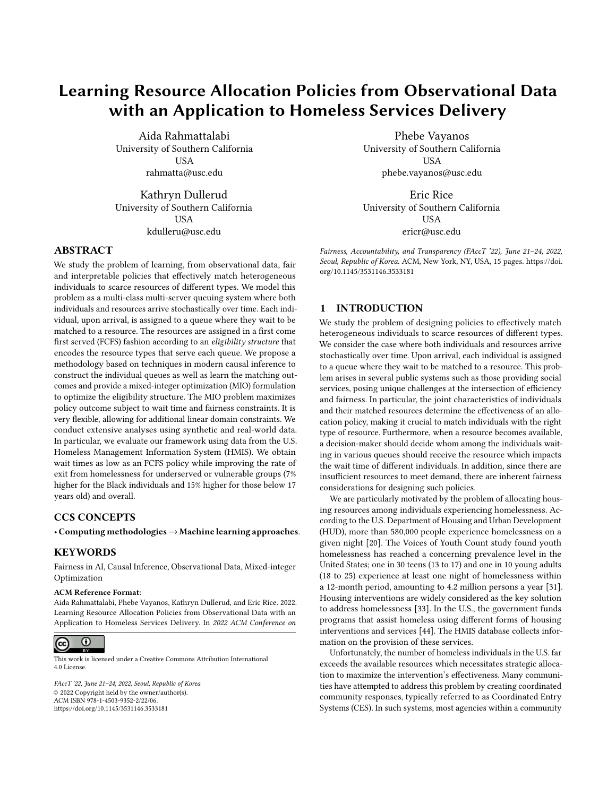<span id="page-13-2"></span>

<span id="page-13-0"></span>

<span id="page-13-1"></span>

| Coeffs.      | Estimates | $p$ -value | Coeffs.      | Estimates | $p$ -val          |
|--------------|-----------|------------|--------------|-----------|-------------------|
| Intercept    | $-0.012$  | 0.066      | Intercept    | $-0.054$  | $5.7e_1$          |
| PSH pred.    | 0.985     | $< 2e-16$  | RRH pred.    | 1.125     | < 2e <sub>1</sub> |
| $Race = 2$   | 0.011     | 0.204      | $Race = 2$   | $-0.007$  | 0.586             |
| $Race = 3$   | 0.002     | 0.803      | $Race = 3$   | $-0.014$  | 0.394             |
| Gender = $2$ | $-0.006$  | 0.469      | Gender = $2$ | 0.000     | 0.987             |
| $Age = 2$    | 0.006     | 0.485      | $Age = 2$    | $-0.003$  | 0.813             |

Table 3: Propensity calibration within group for PSH (left) and RRH (right) of random forest model. None of the coefficients of the demographic attributes are found to be significant. In addition, the coefficient associated with the predicted probability is close to 1 in both models, suggesting that the model is well-calibrated even when we control for the demographic attributes.

Considering the reliability diagrams in Figure ??, we observe that logistic regression models are well-calibrated across different resources. We also investigated test-fairness of logistic regression where we fit the observed outcome against the predicted outcome and demographic features. Results are summarized in Table [5.](#page-13-3) As seen, the coefficients of demographic features are not significant, suggesting that test-fairness is satisfied.

## Optimal Matching Topology for Fairness over Age.

Figure [12](#page-14-1) depicts the policies when fairness over age is imposed. According to this figure, across all score values youth below 17 years are eligible for PSH. On the other hand, mid- and high-scoring

<span id="page-13-3"></span>Coeffs. Estimates  $\rho$ -value<br>Intercent 0.054 5.70.05 S: Outcome calibration within group for PSH (left) and Intercept -0.054 5.7e-05<br>
RRH (right) of logistic regression model. None of the coef-RRH pred.  $1.125 <sup>2e</sup>$ <sub>10</sub><sup>16</sup> experience of the demographic attributes are found to be sig-Race = 2  $-0.007$  0.586 nificant. In addition, the coefficient associated with the pre-Race = 3  $-0.014$  0.394 dicted probability is close to 1 in both models, suggesting  $\text{Age} = 2$   $\text{0.000}$   $\text{0.813}$  that the model is well-calibrated even when we control for  $\text{Age} = 2$   $\text{0.003}$   $\text{0.813}$  the demographic attributes <u>the </u>demographic attributes.

> youth over 17 years old, are eligible for PSH. We further imposed constraints to ensure within each score group, the connections are the same for different age groups. Figure [13](#page-14-2) illustrates the resulting matching topology, according to which individuals who score above 7 are eligible for RRH and PSH, regardless of their age. Those who score 6 are eligible for all three resource types. Finally, All youth with score below 6 are only eligible for SO. We observe that all individuals who belong to a certain queue, regardless of their age, are eligible for the same types of resources. As a result of combining the queues that depended on age, the worst-case policy value across the age groups decreased from 0.74 to 0.69 which still outperforms the SQ (data) with worst-case performance of 0.64.